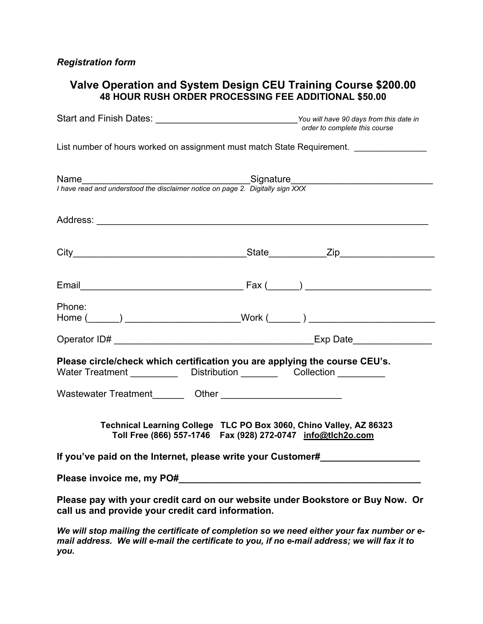# *Registration form*

# **Valve Operation and System Design CEU Training Course \$200.00 48 HOUR RUSH ORDER PROCESSING FEE ADDITIONAL \$50.00**

|                                                                                                                                                                                                                               | You will have 90 days from this date in<br>order to complete this course                                                            |
|-------------------------------------------------------------------------------------------------------------------------------------------------------------------------------------------------------------------------------|-------------------------------------------------------------------------------------------------------------------------------------|
|                                                                                                                                                                                                                               | List number of hours worked on assignment must match State Requirement.                                                             |
|                                                                                                                                                                                                                               | Name<br>I have read and understood the disclaimer notice on page 2. Digitally sign XXX                                              |
|                                                                                                                                                                                                                               |                                                                                                                                     |
|                                                                                                                                                                                                                               |                                                                                                                                     |
|                                                                                                                                                                                                                               |                                                                                                                                     |
| Phone:                                                                                                                                                                                                                        |                                                                                                                                     |
|                                                                                                                                                                                                                               | Operator ID# Exp Date Exp Date                                                                                                      |
| Please circle/check which certification you are applying the course CEU's.<br>Water Treatment ____________ Distribution _________ Collection _________                                                                        |                                                                                                                                     |
|                                                                                                                                                                                                                               |                                                                                                                                     |
|                                                                                                                                                                                                                               | Technical Learning College TLC PO Box 3060, Chino Valley, AZ 86323<br>Toll Free (866) 557-1746  Fax (928) 272-0747  info@tlch2o.com |
|                                                                                                                                                                                                                               | If you've paid on the Internet, please write your Customer#                                                                         |
| Please invoice me, my PO# example and the set of the set of the set of the set of the set of the set of the set of the set of the set of the set of the set of the set of the set of the set of the set of the set of the set |                                                                                                                                     |
| call us and provide your credit card information.                                                                                                                                                                             | Please pay with your credit card on our website under Bookstore or Buy Now. Or                                                      |

*We will stop mailing the certificate of completion so we need either your fax number or email address. We will e-mail the certificate to you, if no e-mail address; we will fax it to you.*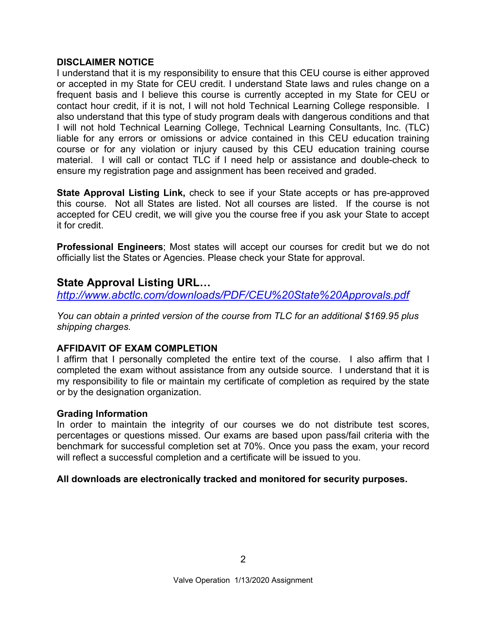# **DISCLAIMER NOTICE**

I understand that it is my responsibility to ensure that this CEU course is either approved or accepted in my State for CEU credit. I understand State laws and rules change on a frequent basis and I believe this course is currently accepted in my State for CEU or contact hour credit, if it is not, I will not hold Technical Learning College responsible. I also understand that this type of study program deals with dangerous conditions and that I will not hold Technical Learning College, Technical Learning Consultants, Inc. (TLC) liable for any errors or omissions or advice contained in this CEU education training course or for any violation or injury caused by this CEU education training course material. I will call or contact TLC if I need help or assistance and double-check to ensure my registration page and assignment has been received and graded.

**State Approval Listing Link,** check to see if your State accepts or has pre-approved this course. Not all States are listed. Not all courses are listed. If the course is not accepted for CEU credit, we will give you the course free if you ask your State to accept it for credit.

**Professional Engineers**; Most states will accept our courses for credit but we do not officially list the States or Agencies. Please check your State for approval.

# **State Approval Listing URL…**

*<http://www.abctlc.com/downloads/PDF/CEU%20State%20Approvals.pdf>*

*You can obtain a printed version of the course from TLC for an additional \$169.95 plus shipping charges.* 

# **AFFIDAVIT OF EXAM COMPLETION**

I affirm that I personally completed the entire text of the course. I also affirm that I completed the exam without assistance from any outside source. I understand that it is my responsibility to file or maintain my certificate of completion as required by the state or by the designation organization.

# **Grading Information**

In order to maintain the integrity of our courses we do not distribute test scores, percentages or questions missed. Our exams are based upon pass/fail criteria with the benchmark for successful completion set at 70%. Once you pass the exam, your record will reflect a successful completion and a certificate will be issued to you.

# **All downloads are electronically tracked and monitored for security purposes.**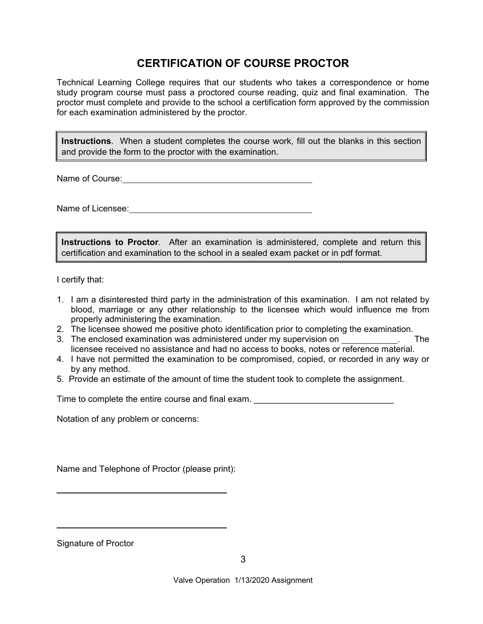# **CERTIFICATION OF COURSE PROCTOR**

Technical Learning College requires that our students who takes a correspondence or home study program course must pass a proctored course reading, quiz and final examination. The proctor must complete and provide to the school a certification form approved by the commission for each examination administered by the proctor.

**Instructions**. When a student completes the course work, fill out the blanks in this section and provide the form to the proctor with the examination.

Name of Course: **Name of Course:** 

Name of Licensee:

**Instructions to Proctor**. After an examination is administered, complete and return this certification and examination to the school in a sealed exam packet or in pdf format.

I certify that:

- 1. I am a disinterested third party in the administration of this examination. I am not related by blood, marriage or any other relationship to the licensee which would influence me from properly administering the examination.
- 2. The licensee showed me positive photo identification prior to completing the examination.
- 3. The enclosed examination was administered under my supervision on . The licensee received no assistance and had no access to books, notes or reference material.
- 4. I have not permitted the examination to be compromised, copied, or recorded in any way or by any method.
- 5. Provide an estimate of the amount of time the student took to complete the assignment.

Time to complete the entire course and final exam.

Notation of any problem or concerns:

Name and Telephone of Proctor (please print):

Signature of Proctor

 $\overline{a}$ 

 $\overline{a}$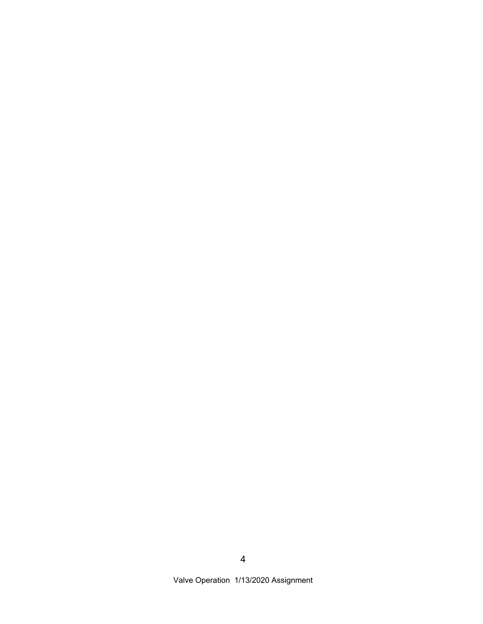Valve Operation 1/13/2020 Assignment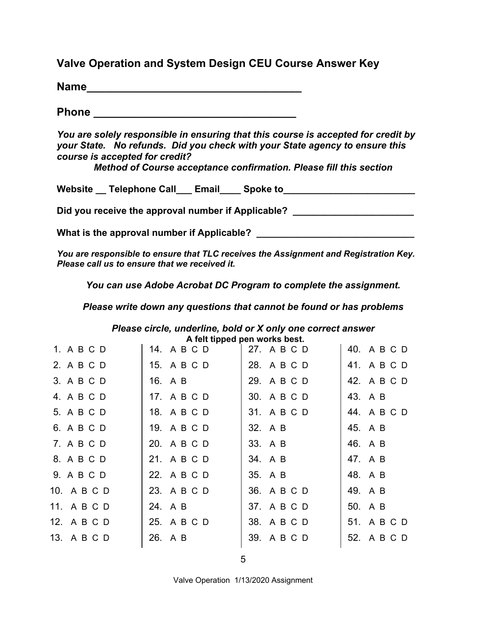**Valve Operation and System Design CEU Course Answer Key**

**Name\_\_\_\_\_\_\_\_\_\_\_\_\_\_\_\_\_\_\_\_\_\_\_\_\_\_\_\_\_\_\_\_\_\_\_** 

**Phone** *Phone* **<b>***Phone* 

*You are solely responsible in ensuring that this course is accepted for credit by your State. No refunds. Did you check with your State agency to ensure this course is accepted for credit?* 

*Method of Course acceptance confirmation. Please fill this section* 

Website \_\_ Telephone Call \_\_ Email \_\_\_ Spoke to \_\_\_\_\_\_\_\_\_\_\_\_\_\_\_\_\_\_\_\_\_\_\_\_\_\_\_\_\_\_\_\_

Did you receive the approval number if Applicable?

**What is the approval number if Applicable? \_\_\_\_\_\_\_\_\_\_\_\_\_\_\_\_\_\_\_\_\_\_\_\_\_\_\_\_\_\_** 

*You are responsible to ensure that TLC receives the Assignment and Registration Key. Please call us to ensure that we received it.* 

*You can use Adobe Acrobat DC Program to complete the assignment.* 

*Please write down any questions that cannot be found or has problems* 

*Please circle, underline, bold or X only one correct answer* **A felt tipped pen works best.** 

| 1. A B C D  | 14. A B C D | 27. A B C D | 40. A B C D |
|-------------|-------------|-------------|-------------|
| 2. A B C D  | 15. A B C D | 28. A B C D | 41. A B C D |
| 3. A B C D  | 16. A B     | 29. A B C D | 42. A B C D |
| 4. A B C D  | 17. A B C D | 30. A B C D | 43. A B     |
| 5. A B C D  | 18. A B C D | 31. A B C D | 44. A B C D |
| 6. A B C D  | 19. A B C D | 32. A B     | 45. A B     |
| 7. A B C D  | 20. A B C D | 33. A B     | 46. A B     |
| 8. A B C D  | 21. A B C D | 34. A B     | 47. A B     |
| 9. A B C D  | 22. A B C D | 35. A B     | 48. A B     |
| 10. A B C D | 23. A B C D | 36. A B C D | 49. A B     |
| 11. A B C D | 24. A B     | 37. A B C D | 50. A B     |
| 12. A B C D | 25. A B C D | 38. A B C D | 51. A B C D |
| 13. A B C D | 26. A B     | 39. A B C D | 52. A B C D |
|             |             |             |             |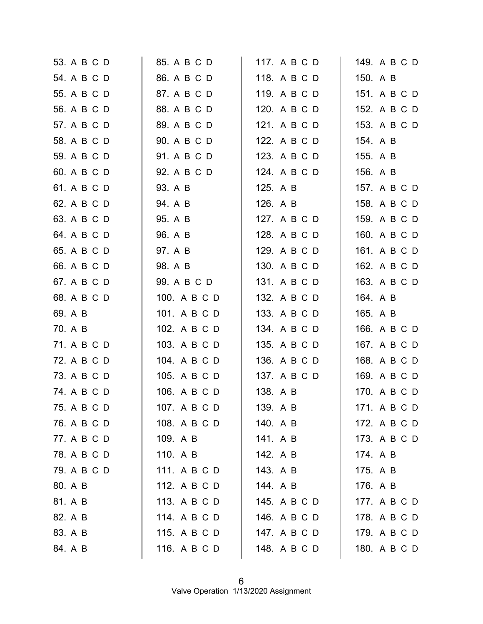| 53. A B C D | 85. A B C D  | 117. A B C D | 149. A B C D |
|-------------|--------------|--------------|--------------|
| 54. A B C D | 86. A B C D  | 118. A B C D | 150. A B     |
| 55. A B C D | 87. A B C D  | 119. A B C D | 151. A B C D |
| 56. A B C D | 88. A B C D  | 120. A B C D | 152. A B C D |
| 57. A B C D | 89. A B C D  | 121. A B C D | 153. A B C D |
| 58. A B C D | 90. A B C D  | 122. A B C D | 154. A B     |
| 59. A B C D | 91. A B C D  | 123. A B C D | 155. A B     |
| 60. A B C D | 92. A B C D  | 124. A B C D | 156. A B     |
| 61. A B C D | 93. A B      | 125. A B     | 157. A B C D |
| 62. A B C D | 94. A B      | 126. A B     | 158. A B C D |
| 63. A B C D | 95. A B      | 127. A B C D | 159. A B C D |
| 64. A B C D | 96. A B      | 128. A B C D | 160. A B C D |
| 65. A B C D | 97. A B      | 129. A B C D | 161. A B C D |
| 66. A B C D | 98. A B      | 130. A B C D | 162. A B C D |
| 67. A B C D | 99. A B C D  | 131. A B C D | 163. A B C D |
| 68. A B C D | 100. A B C D | 132. A B C D | 164. A B     |
| 69. A B     | 101. A B C D | 133. A B C D | 165. A B     |
| 70. A B     | 102. A B C D | 134. A B C D | 166. A B C D |
| 71. A B C D | 103. A B C D | 135. A B C D | 167. A B C D |
| 72. A B C D | 104. A B C D | 136. A B C D | 168. A B C D |
| 73. A B C D | 105. A B C D | 137. A B C D | 169. A B C D |
| 74. A B C D | 106. A B C D | 138. A B     | 170. A B C D |
| 75. A B C D | 107. A B C D | 139. A B     | 171. A B C D |
| 76. A B C D | 108. A B C D | 140. A B     | 172. A B C D |
| 77. A B C D | 109. A B     | 141. A B     | 173. A B C D |
| 78. A B C D | 110. A B     | 142. A B     | 174. A B     |
| 79. A B C D | 111. A B C D | 143. A B     | 175. A B     |
| 80. A B     | 112. A B C D | 144. A B     | 176. A B     |
| 81. A B     | 113. A B C D | 145. A B C D | 177. A B C D |
| 82. A B     | 114. A B C D | 146. A B C D | 178. A B C D |
| 83. A B     | 115. A B C D | 147. A B C D | 179. A B C D |
| 84. A B     | 116. A B C D | 148. A B C D | 180. A B C D |
|             |              |              |              |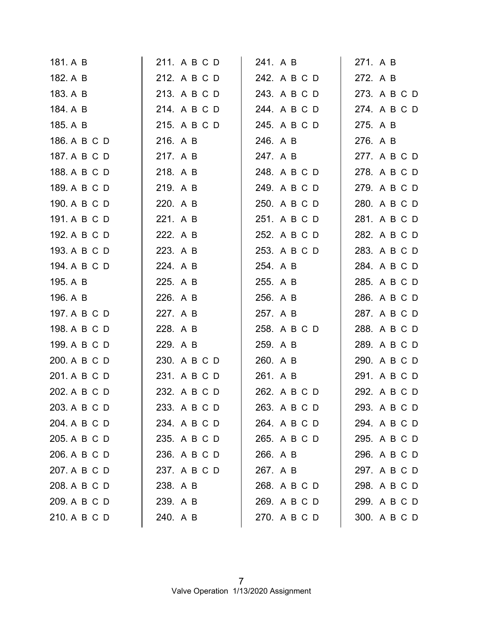| 181. A B     | 211. A B C D | 241. A B     | 271. A B     |
|--------------|--------------|--------------|--------------|
| 182. A B     | 212. A B C D | 242. A B C D | 272. A B     |
| 183. A B     | 213. A B C D | 243. A B C D | 273. A B C D |
| 184. A B     | 214. A B C D | 244. A B C D | 274. A B C D |
| 185. A B     | 215. A B C D | 245. A B C D | 275. A B     |
| 186. A B C D | 216. A B     | 246. A B     | 276. A B     |
| 187. A B C D | 217. A B     | 247. A B     | 277. A B C D |
| 188. A B C D | 218. A B     | 248. A B C D | 278. A B C D |
| 189. A B C D | 219. A B     | 249. A B C D | 279. A B C D |
| 190. A B C D | 220. A B     | 250. A B C D | 280. A B C D |
| 191. A B C D | 221. A B     | 251. A B C D | 281. A B C D |
| 192. A B C D | 222. A B     | 252. A B C D | 282. A B C D |
| 193. A B C D | 223. A B     | 253. A B C D | 283. A B C D |
| 194. A B C D | 224. A B     | 254. A B     | 284. A B C D |
| 195. A B     | 225. A B     | 255. A B     | 285. A B C D |
| 196. A B     | 226. A B     | 256. A B     | 286. A B C D |
| 197. A B C D | 227. A B     | 257. A B     | 287. A B C D |
| 198. A B C D | 228. A B     | 258. A B C D | 288. A B C D |
| 199. A B C D | 229. A B     | 259. A B     | 289. A B C D |
| 200. A B C D | 230. A B C D | 260. A B     | 290. A B C D |
| 201. A B C D | 231. A B C D | 261. A B     | 291. A B C D |
| 202. A B C D | 232. A B C D | 262. A B C D | 292. A B C D |
| 203. A B C D | 233. A B C D | 263. A B C D | 293. A B C D |
| 204. A B C D | 234. A B C D | 264. A B C D | 294. A B C D |
| 205. A B C D | 235. A B C D | 265. A B C D | 295. A B C D |
| 206. A B C D | 236. A B C D | 266. A B     | 296. A B C D |
| 207. A B C D | 237. A B C D | 267. A B     | 297. A B C D |
| 208. A B C D | 238. A B     | 268. A B C D | 298. A B C D |
| 209. A B C D | 239. A B     | 269. A B C D | 299. A B C D |
| 210. A B C D | 240. A B     | 270. A B C D | 300. A B C D |
|              |              |              |              |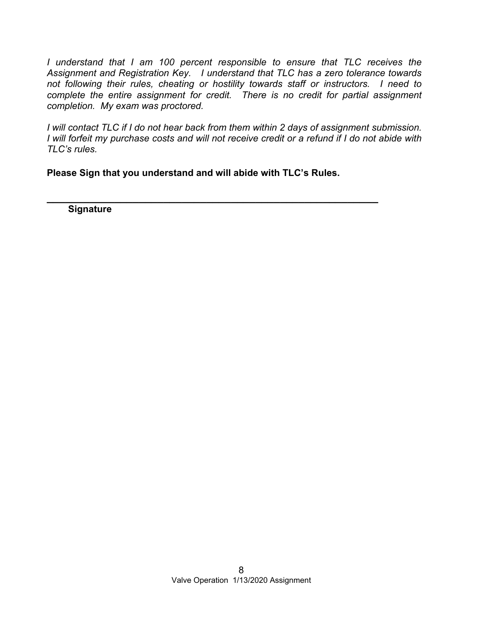*I* understand that *I* am 100 percent responsible to ensure that TLC receives the *Assignment and Registration Key. I understand that TLC has a zero tolerance towards not following their rules, cheating or hostility towards staff or instructors. I need to complete the entire assignment for credit. There is no credit for partial assignment completion. My exam was proctored.* 

*I will contact TLC if I do not hear back from them within 2 days of assignment submission. I will forfeit my purchase costs and will not receive credit or a refund if I do not abide with TLC's rules.* 

**Please Sign that you understand and will abide with TLC's Rules.** 

**\_\_\_\_\_\_\_\_\_\_\_\_\_\_\_\_\_\_\_\_\_\_\_\_\_\_\_\_\_\_\_\_\_\_\_\_\_\_\_\_\_\_\_\_\_\_\_\_\_\_\_\_\_\_** 

**Signature**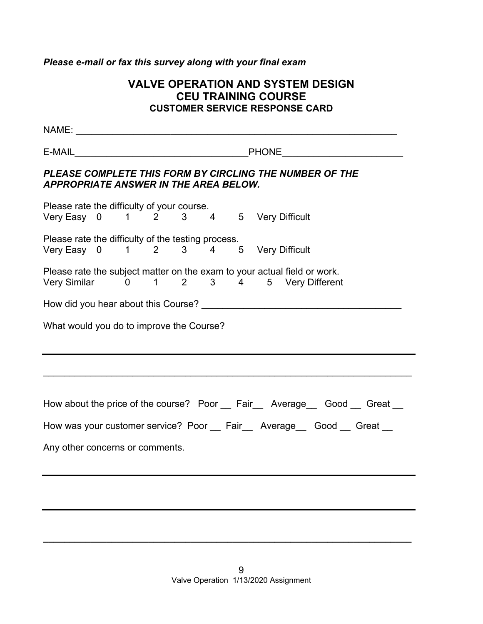# *Please e-mail or fax this survey along with your final exam*

# **VALVE OPERATION AND SYSTEM DESIGN CEU TRAINING COURSE CUSTOMER SERVICE RESPONSE CARD**

| <b>APPROPRIATE ANSWER IN THE AREA BELOW.</b>       |                                                                                                                     |  |  |  |  |  | PLEASE COMPLETE THIS FORM BY CIRCLING THE NUMBER OF THE                            |
|----------------------------------------------------|---------------------------------------------------------------------------------------------------------------------|--|--|--|--|--|------------------------------------------------------------------------------------|
|                                                    |                                                                                                                     |  |  |  |  |  | Please rate the difficulty of your course.<br>Very Easy 0 1 2 3 4 5 Very Difficult |
| Please rate the difficulty of the testing process. |                                                                                                                     |  |  |  |  |  | Very Easy 0 1 2 3 4 5 Very Difficult                                               |
|                                                    | Please rate the subject matter on the exam to your actual field or work.<br>Very Similar 0 1 2 3 4 5 Very Different |  |  |  |  |  |                                                                                    |
|                                                    |                                                                                                                     |  |  |  |  |  |                                                                                    |
| What would you do to improve the Course?           |                                                                                                                     |  |  |  |  |  |                                                                                    |
|                                                    |                                                                                                                     |  |  |  |  |  |                                                                                    |
|                                                    |                                                                                                                     |  |  |  |  |  | How about the price of the course? Poor <u>Fair</u> Average Good Great             |
|                                                    |                                                                                                                     |  |  |  |  |  | How was your customer service? Poor __ Fair __ Average __ Good __ Great __         |
| Any other concerns or comments.                    |                                                                                                                     |  |  |  |  |  |                                                                                    |
|                                                    |                                                                                                                     |  |  |  |  |  |                                                                                    |

**\_\_\_\_\_\_\_\_\_\_\_\_\_\_\_\_\_\_\_\_\_\_\_\_\_\_\_\_\_\_\_\_\_\_\_\_\_\_\_\_\_\_\_\_\_\_\_\_\_\_\_\_\_\_\_\_\_\_\_\_\_\_\_\_\_\_\_\_\_\_**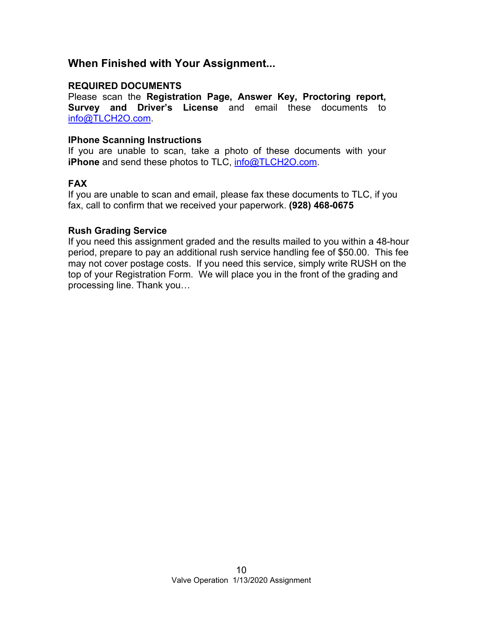# **When Finished with Your Assignment...**

# **REQUIRED DOCUMENTS**

Please scan the **Registration Page, Answer Key, Proctoring report, Survey and Driver's License** and email these documents to [info@TLCH2O.com.](mailto:info@TLCH2O.com) 

# **IPhone Scanning Instructions**

If you are unable to scan, take a photo of these documents with your **iPhone** and send these photos to TLC,  $info@TLCH2O.com$ .

# **FAX**

If you are unable to scan and email, please fax these documents to TLC, if you fax, call to confirm that we received your paperwork. **(928) 468-0675** 

# **Rush Grading Service**

If you need this assignment graded and the results mailed to you within a 48-hour period, prepare to pay an additional rush service handling fee of \$50.00. This fee may not cover postage costs. If you need this service, simply write RUSH on the top of your Registration Form. We will place you in the front of the grading and processing line. Thank you…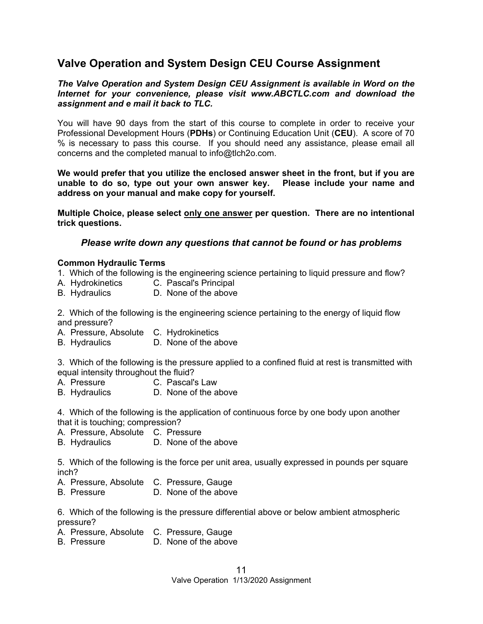# **Valve Operation and System Design CEU Course Assignment**

## *The Valve Operation and System Design CEU Assignment is available in Word on the Internet for your convenience, please visit [www.ABCTLC.com a](http://www.ABCTLC.com)nd download the assignment and e mail it back to TLC.*

You will have 90 days from the start of this course to complete in order to receive your Professional Development Hours (**PDHs**) or Continuing Education Unit (**CEU**). A score of 70 % is necessary to pass this course. If you should need any assistance, please email all concerns and the completed manual to [info@tlch2o.com.](mailto:info@tlch2o.com) 

**We would prefer that you utilize the enclosed answer sheet in the front, but if you are unable to do so, type out your own answer key. Please include your name and address on your manual and make copy for yourself.** 

**Multiple Choice, please select only one answer per question. There are no intentional trick questions.** 

# *Please write down any questions that cannot be found or has problems*

#### **Common Hydraulic Terms**

- 1. Which of the following is the engineering science pertaining to liquid pressure and flow?
- A. Hydrokinetics C. Pascal's Principal
- B. Hydraulics D. None of the above

2. Which of the following is the engineering science pertaining to the energy of liquid flow and pressure?

- A. Pressure, Absolute C. Hydrokinetics
- B. Hydraulics D. None of the above

3. Which of the following is the pressure applied to a confined fluid at rest is transmitted with equal intensity throughout the fluid?

- A. Pressure C. Pascal's Law
- B. Hydraulics D. None of the above

4. Which of the following is the application of continuous force by one body upon another that it is touching; compression?

- A. Pressure, Absolute C. Pressure
- B. Hydraulics D. None of the above

5. Which of the following is the force per unit area, usually expressed in pounds per square inch?

- A. Pressure, Absolute C. Pressure, Gauge
- B. Pressure D. None of the above

6. Which of the following is the pressure differential above or below ambient atmospheric pressure?

A. Pressure, Absolute C. Pressure, Gauge

B. Pressure D. None of the above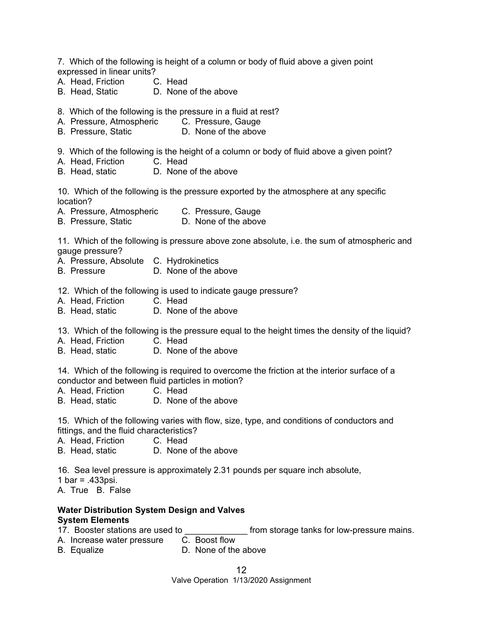| expressed in linear units?                                                               | 7. Which of the following is height of a column or body of fluid above a given point                                                                     |
|------------------------------------------------------------------------------------------|----------------------------------------------------------------------------------------------------------------------------------------------------------|
| A. Head, Friction<br>B. Head, Static D. None of the above                                | C. Head                                                                                                                                                  |
|                                                                                          | 8. Which of the following is the pressure in a fluid at rest?<br>A. Pressure, Atmospheric C. Pressure, Gauge<br>B. Pressure, Static D. None of the above |
| A. Head, Friction<br>B. Head, static                                                     | 9. Which of the following is the height of a column or body of fluid above a given point?<br>C. Head<br>D. None of the above                             |
| location?                                                                                | 10. Which of the following is the pressure exported by the atmosphere at any specific                                                                    |
| B. Pressure, Static                                                                      | A. Pressure, Atmospheric C. Pressure, Gauge<br>D. None of the above                                                                                      |
| gauge pressure?                                                                          | 11. Which of the following is pressure above zone absolute, i.e. the sum of atmospheric and                                                              |
| A. Pressure, Absolute C. Hydrokinetics<br><b>B.</b> Pressure                             | D. None of the above                                                                                                                                     |
| A. Head, Friction                                                                        | 12. Which of the following is used to indicate gauge pressure?<br>C. Head                                                                                |
| B. Head, static                                                                          | D. None of the above                                                                                                                                     |
| A. Head, Friction C. Head<br>B. Head, static                                             | 13. Which of the following is the pressure equal to the height times the density of the liquid?<br>D. None of the above                                  |
| conductor and between fluid particles in motion?<br>A. Head, Friction                    | 14. Which of the following is required to overcome the friction at the interior surface of a<br>C. Head                                                  |
| B. Head, static D. None of the above                                                     |                                                                                                                                                          |
| fittings, and the fluid characteristics?                                                 | 15. Which of the following varies with flow, size, type, and conditions of conductors and                                                                |
| A. Head, Friction<br>B. Head, static                                                     | C. Head<br>D. None of the above                                                                                                                          |
| 1 bar = $.433$ psi.<br>A. True B. False                                                  | 16. Sea level pressure is approximately 2.31 pounds per square inch absolute,                                                                            |
|                                                                                          | <b>Water Distribution System Design and Valves</b>                                                                                                       |
| <b>System Elements</b><br>17. Booster stations are used to<br>A. Increase water pressure | from storage tanks for low-pressure mains.<br>C. Boost flow                                                                                              |
| <b>B.</b> Equalize                                                                       | D. None of the above                                                                                                                                     |

12

Valve Operation 1/13/2020 Assignment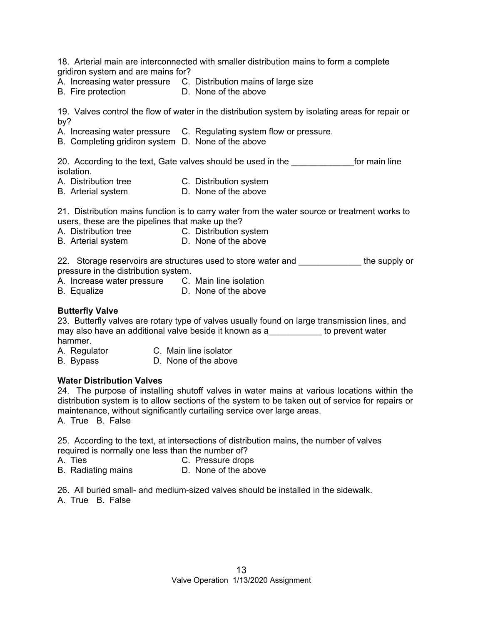18. Arterial main are interconnected with smaller distribution mains to form a complete gridiron system and are mains for?

- A. Increasing water pressure C. Distribution mains of large size
- B. Fire protection D. None of the above

19. Valves control the flow of water in the distribution system by isolating areas for repair or by?

- A. Increasing water pressure C. Regulating system flow or pressure.
- B. Completing gridiron system D. None of the above

20. According to the text, Gate valves should be used in the The The Theorem for main line isolation.

- A. Distribution tree C. Distribution system
- B. Arterial system D. None of the above

21. Distribution mains function is to carry water from the water source or treatment works to users, these are the pipelines that make up the?

- A. Distribution tree C. Distribution system
- B. Arterial system D. None of the above

22. Storage reservoirs are structures used to store water and \_\_\_\_\_\_\_\_\_\_\_\_\_\_ the supply or pressure in the distribution system.

- A. Increase water pressure C. Main line isolation
- B. Equalize D. None of the above

#### **Butterfly Valve**

23. Butterfly valves are rotary type of valves usually found on large transmission lines, and may also have an additional valve beside it known as a\_\_\_\_\_\_\_\_\_\_\_ to prevent water hammer.

A. Regulator C. Main line isolator

B. Bypass D. None of the above

#### **Water Distribution Valves**

24. The purpose of installing shutoff valves in water mains at various locations within the distribution system is to allow sections of the system to be taken out of service for repairs or maintenance, without significantly curtailing service over large areas.

A. True B. False

25. According to the text, at intersections of distribution mains, the number of valves required is normally one less than the number of?

- A. Ties **C. Pressure drops**
- B. Radiating mains D. None of the above

26. All buried small- and medium-sized valves should be installed in the sidewalk.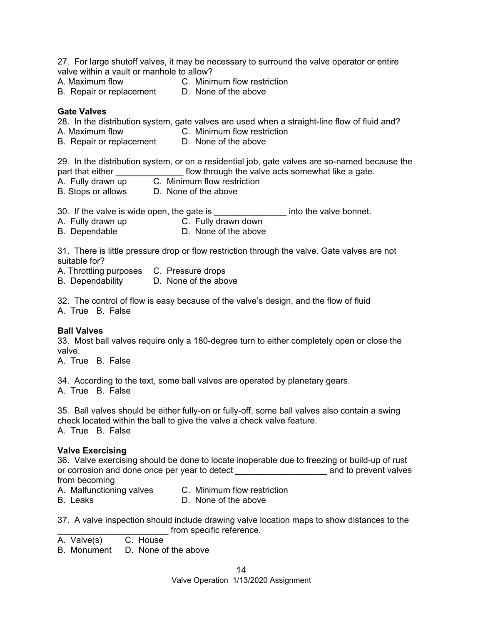27. For large shutoff valves, it may be necessary to surround the valve operator or entire valve within a vault or manhole to allow?

B. Repair or replacement

A. Maximum flow C. Minimum flow restriction<br>B. Repair or replacement D. None of the above

# **Gate Valves**

28. In the distribution system, gate valves are used when a straight-line flow of fluid and?

- A. Maximum flow C. Minimum flow restriction
- B. Repair or replacement D. None of the above

29. In the distribution system, or on a residential job, gate valves are so-named because the part that either **the controlled in the valve acts somewhat like a gate.** 

A. Fully drawn up C. Minimum flow restriction

B. Stops or allows D. None of the above

30. If the valve is wide open, the gate is \_\_\_\_\_\_\_\_\_\_\_\_\_\_\_\_\_\_\_\_\_ into the valve bonnet.

A. Fully drawn up C. Fully drawn down

B. Dependable D. None of the above

31. There is little pressure drop or flow restriction through the valve. Gate valves are not suitable for?

A. Throttling purposes C. Pressure drops

B. Dependability D. None of the above

32. The control of flow is easy because of the valve's design, and the flow of fluid A. True B. False

# **Ball Valves**

33. Most ball valves require only a 180-degree turn to either completely open or close the valve.

A. True B. False

34. According to the text, some ball valves are operated by planetary gears.

A. True B. False

35. Ball valves should be either fully-on or fully-off, some ball valves also contain a swing check located within the ball to give the valve a check valve feature. A. True B. False

# **Valve Exercising**

36. Valve exercising should be done to locate inoperable due to freezing or build-up of rust or corrosion and done once per year to detect entity and to prevent valves from becoming

- A. Malfunctioning valves C. Minimum flow restriction
- B. Leaks D. None of the above

37. A valve inspection should include drawing valve location maps to show distances to the from specific reference.

A. Valve(s) C. House

B. Monument D. None of the above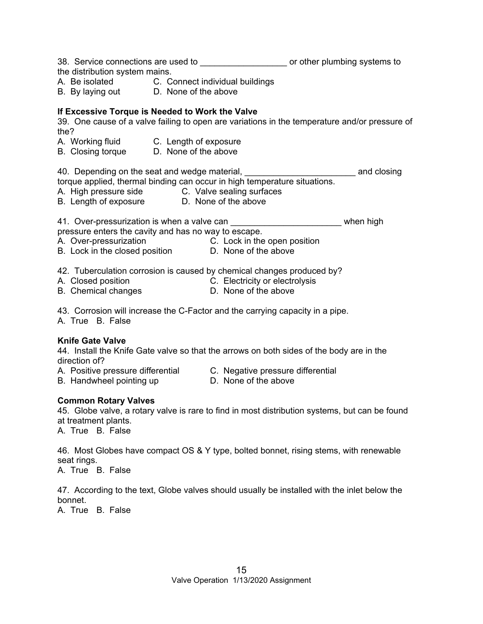| the distribution system mains.<br>B. By laying out D. None of the above          | 38. Service connections are used to _______________________ or other plumbing systems to<br>A. Be isolated C. Connect individual buildings                                                                                                                                 |                                                                                               |
|----------------------------------------------------------------------------------|----------------------------------------------------------------------------------------------------------------------------------------------------------------------------------------------------------------------------------------------------------------------------|-----------------------------------------------------------------------------------------------|
| If Excessive Torque is Needed to Work the Valve<br>the?                          |                                                                                                                                                                                                                                                                            | 39. One cause of a valve failing to open are variations in the temperature and/or pressure of |
| A. Working fluid C. Length of exposure<br>B. Closing torque D. None of the above |                                                                                                                                                                                                                                                                            |                                                                                               |
|                                                                                  | 40. Depending on the seat and wedge material, __________________________________ and closing<br>torque applied, thermal binding can occur in high temperature situations.<br>A. High pressure side C. Valve sealing surfaces<br>B. Length of exposure D. None of the above |                                                                                               |
| pressure enters the cavity and has no way to escape.                             | 41. Over-pressurization is when a valve can ___________________________ when high<br>A. Over-pressurization C. Lock in the open position<br>B. Lock in the closed position D. None of the above                                                                            |                                                                                               |
|                                                                                  | 42. Tuberculation corrosion is caused by chemical changes produced by?                                                                                                                                                                                                     |                                                                                               |
| A. True B. False                                                                 | 43. Corrosion will increase the C-Factor and the carrying capacity in a pipe.                                                                                                                                                                                              |                                                                                               |
| <b>Knife Gate Valve</b>                                                          | 44 Install the Knife Gate valve so that the arrows on both sides of the body are in the                                                                                                                                                                                    |                                                                                               |

44. Install the Knife Gate valve so that the arrows on both sides of the body are in the direction of?

- A. Positive pressure differential C. Negative pressure differential
- B. Handwheel pointing up **D.** None of the above

# **Common Rotary Valves**

45. Globe valve, a rotary valve is rare to find in most distribution systems, but can be found at treatment plants.

A. True B. False

46. Most Globes have compact OS & Y type, bolted bonnet, rising stems, with renewable seat rings.

A. True B. False

47. According to the text, Globe valves should usually be installed with the inlet below the bonnet.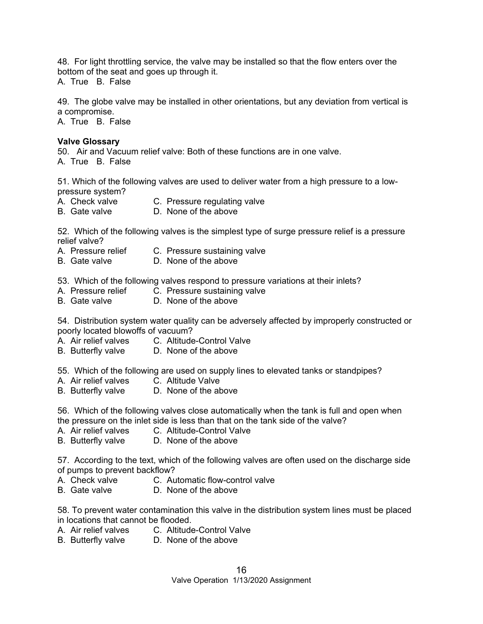48. For light throttling service, the valve may be installed so that the flow enters over the bottom of the seat and goes up through it.

A. True B. False

49. The globe valve may be installed in other orientations, but any deviation from vertical is a compromise.

A. True B. False

## **Valve Glossary**

50. Air and Vacuum relief valve: Both of these functions are in one valve.

A. True B. False

51. Which of the following valves are used to deliver water from a high pressure to a lowpressure system?

- 
- A. Check valve C. Pressure regulating valve
- B. Gate valve **D.** None of the above

52. Which of the following valves is the simplest type of surge pressure relief is a pressure relief valve?

- 
- A. Pressure relief C. Pressure sustaining valve
- B. Gate valve **D.** None of the above

53. Which of the following valves respond to pressure variations at their inlets?

- A. Pressure relief C. Pressure sustaining valve
- B. Gate valve D. None of the above

54. Distribution system water quality can be adversely affected by improperly constructed or poorly located blowoffs of vacuum?

- A. Air relief valves C. Altitude-Control Valve
- B. Butterfly valve D. None of the above

55. Which of the following are used on supply lines to elevated tanks or standpipes?

- A. Air relief valves C. Altitude Valve
- B. Butterfly valve D. None of the above

56. Which of the following valves close automatically when the tank is full and open when the pressure on the inlet side is less than that on the tank side of the valve?

- A. Air relief valves C. Altitude-Control Valve
- B. Butterfly valve D. None of the above

57. According to the text, which of the following valves are often used on the discharge side of pumps to prevent backflow?

- A. Check valve C. Automatic flow-control valve
- B. Gate valve **D.** None of the above

58. To prevent water contamination this valve in the distribution system lines must be placed in locations that cannot be flooded.

- A. Air relief valves C. Altitude-Control Valve
- B. Butterfly valve D. None of the above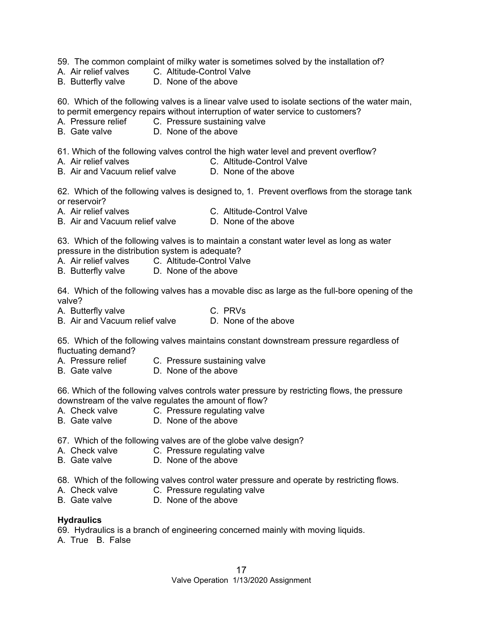59. The common complaint of milky water is sometimes solved by the installation of?

- A. Air relief valves C. Altitude-Control Valve
- B. Butterfly valve D. None of the above

60. Which of the following valves is a linear valve used to isolate sections of the water main, to permit emergency repairs without interruption of water service to customers?

- A. Pressure relief C. Pressure sustaining valve
- B. Gate valve **D.** None of the above

61. Which of the following valves control the high water level and prevent overflow?

- A. Air relief valves C. Altitude-Control Valve
- B. Air and Vacuum relief valve D. None of the above

62. Which of the following valves is designed to, 1. Prevent overflows from the storage tank or reservoir?

- A. Air relief valves C. Altitude-Control Valve
- B. Air and Vacuum relief valve **D.** None of the above

63. Which of the following valves is to maintain a constant water level as long as water pressure in the distribution system is adequate?

- A. Air relief valves C. Altitude-Control Valve
- B. Butterfly valve D. None of the above

64. Which of the following valves has a movable disc as large as the full-bore opening of the valve?

- A. Butterfly valve C. PRVs
- B. Air and Vacuum relief valve **D. None of the above**

65. Which of the following valves maintains constant downstream pressure regardless of fluctuating demand?

- A. Pressure relief C. Pressure sustaining valve
- B. Gate valve D. None of the above

66. Which of the following valves controls water pressure by restricting flows, the pressure downstream of the valve regulates the amount of flow?

- A. Check valve C. Pressure regulating valve
- B. Gate valve **D. None of the above**
- 67. Which of the following valves are of the globe valve design?
- A. Check valve C. Pressure regulating valve
- B. Gate valve D. None of the above
- 68. Which of the following valves control water pressure and operate by restricting flows.
- A. Check valve C. Pressure regulating valve
- B. Gate valve D. None of the above

# **Hydraulics**

69. Hydraulics is a branch of engineering concerned mainly with moving liquids.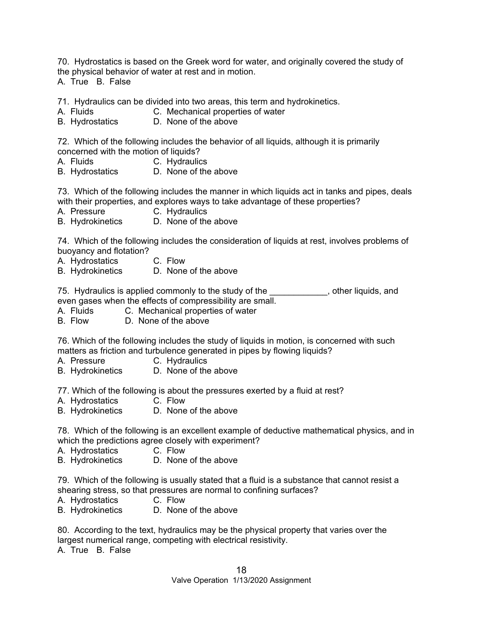70. Hydrostatics is based on the Greek word for water, and originally covered the study of the physical behavior of water at rest and in motion. A. True B. False

71. Hydraulics can be divided into two areas, this term and hydrokinetics.

- A. Fluids C. Mechanical properties of water
- B. Hydrostatics D. None of the above

72. Which of the following includes the behavior of all liquids, although it is primarily concerned with the motion of liquids?

- A. Fluids C. Hydraulics
- B. Hydrostatics D. None of the above

73. Which of the following includes the manner in which liquids act in tanks and pipes, deals with their properties, and explores ways to take advantage of these properties?

- A. Pressure C. Hydraulics
- B. Hydrokinetics D. None of the above

74. Which of the following includes the consideration of liquids at rest, involves problems of buoyancy and flotation?

A. Hydrostatics C. Flow

B. Hydrokinetics D. None of the above

75. Hydraulics is applied commonly to the study of the the study of the study of the study of the study of the study of the study of the study of the study of the study of the study of the study of the study of the study o even gases when the effects of compressibility are small.

- A. Fluids C. Mechanical properties of water
- B. Flow D. None of the above

76. Which of the following includes the study of liquids in motion, is concerned with such matters as friction and turbulence generated in pipes by flowing liquids?

- A. Pressure C. Hydraulics
- B. Hydrokinetics D. None of the above

77. Which of the following is about the pressures exerted by a fluid at rest?

- A. Hydrostatics C. Flow
- B. Hydrokinetics D. None of the above

78. Which of the following is an excellent example of deductive mathematical physics, and in which the predictions agree closely with experiment?

- A. Hydrostatics C. Flow
- B. Hydrokinetics D. None of the above

79. Which of the following is usually stated that a fluid is a substance that cannot resist a shearing stress, so that pressures are normal to confining surfaces?

- A. Hydrostatics C. Flow
- B. Hydrokinetics D. None of the above

80. According to the text, hydraulics may be the physical property that varies over the largest numerical range, competing with electrical resistivity. A. True B. False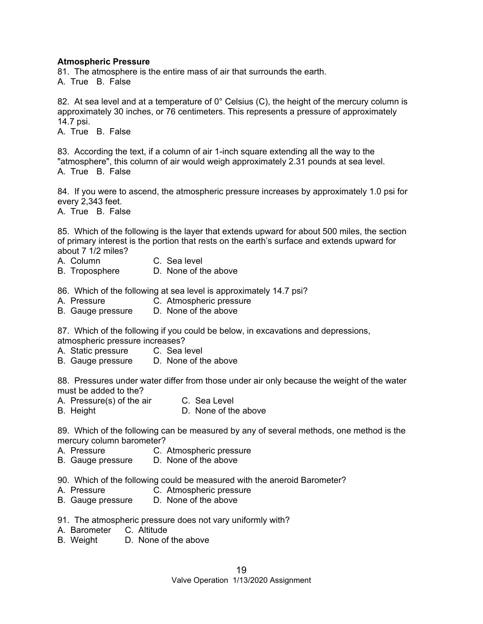#### **Atmospheric Pressure**

81. The atmosphere is the entire mass of air that surrounds the earth. A. True B. False

82. At sea level and at a temperature of  $0^{\circ}$  Celsius (C), the height of the mercury column is

approximately 30 inches, or 76 centimeters. This represents a pressure of approximately 14.7 psi.

A. True B. False

83. According the text, if a column of air 1-inch square extending all the way to the "atmosphere", this column of air would weigh approximately 2.31 pounds at sea level. A. True B. False

84. If you were to ascend, the atmospheric pressure increases by approximately 1.0 psi for every 2,343 feet.

A. True B. False

85. Which of the following is the layer that extends upward for about 500 miles, the section of primary interest is the portion that rests on the earth's surface and extends upward for about 7 1/2 miles?

- A. Column C. Sea level
- B. Troposphere D. None of the above

86. Which of the following at sea level is approximately 14.7 psi?

- A. Pressure C. Atmospheric pressure
- B. Gauge pressure D. None of the above

87. Which of the following if you could be below, in excavations and depressions, atmospheric pressure increases?

- A. Static pressure C. Sea level
- B. Gauge pressure D. None of the above

88. Pressures under water differ from those under air only because the weight of the water must be added to the?

- A. Pressure(s) of the air C. Sea Level
- B. Height D. None of the above

89. Which of the following can be measured by any of several methods, one method is the mercury column barometer?

- A. Pressure C. Atmospheric pressure
- B. Gauge pressure D. None of the above
- 90. Which of the following could be measured with the aneroid Barometer?
- A. Pressure C. Atmospheric pressure
- B. Gauge pressure D. None of the above
- 91. The atmospheric pressure does not vary uniformly with?
- A. Barometer C. Altitude
- B. Weight D. None of the above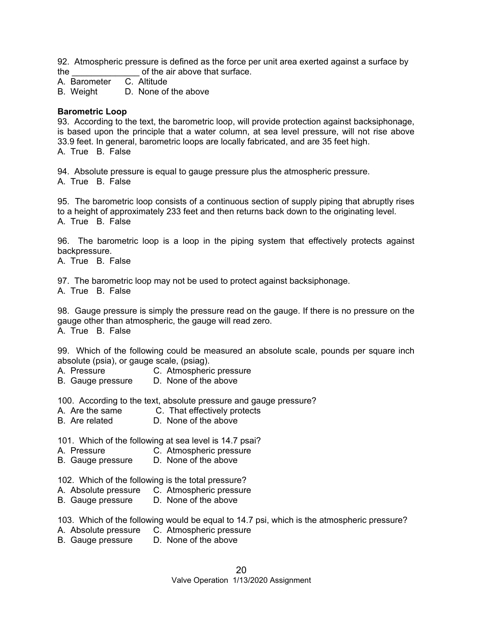92. Atmospheric pressure is defined as the force per unit area exerted against a surface by the the control of the air above that surface.

A. Barometer C. Altitude<br>B. Weight D. None of

D. None of the above

#### **Barometric Loop**

93. According to the text, the barometric loop, will provide protection against backsiphonage, is based upon the principle that a water column, at sea level pressure, will not rise above 33.9 feet. In general, barometric loops are locally fabricated, and are 35 feet high. A. True B. False

94. Absolute pressure is equal to gauge pressure plus the atmospheric pressure. A. True B. False

95. The barometric loop consists of a continuous section of supply piping that abruptly rises to a height of approximately 233 feet and then returns back down to the originating level. A. True B. False

96. The barometric loop is a loop in the piping system that effectively protects against backpressure.

A. True B. False

97. The barometric loop may not be used to protect against backsiphonage.

A. True B. False

98. Gauge pressure is simply the pressure read on the gauge. If there is no pressure on the gauge other than atmospheric, the gauge will read zero. A. True B. False

99. Which of the following could be measured an absolute scale, pounds per square inch absolute (psia), or gauge scale, (psiag).

- A. Pressure C. Atmospheric pressure
- B. Gauge pressure D. None of the above

100. According to the text, absolute pressure and gauge pressure?

- A. Are the same C. That effectively protects
- B. Are related D. None of the above
- 101. Which of the following at sea level is 14.7 psai?
- A. Pressure C. Atmospheric pressure
- B. Gauge pressure D. None of the above

102. Which of the following is the total pressure?

- A. Absolute pressure C. Atmospheric pressure
- B. Gauge pressure D. None of the above

103. Which of the following would be equal to 14.7 psi, which is the atmospheric pressure?

- A. Absolute pressure C. Atmospheric pressure<br>B. Gauge pressure D. None of the above
- B. Gauge pressure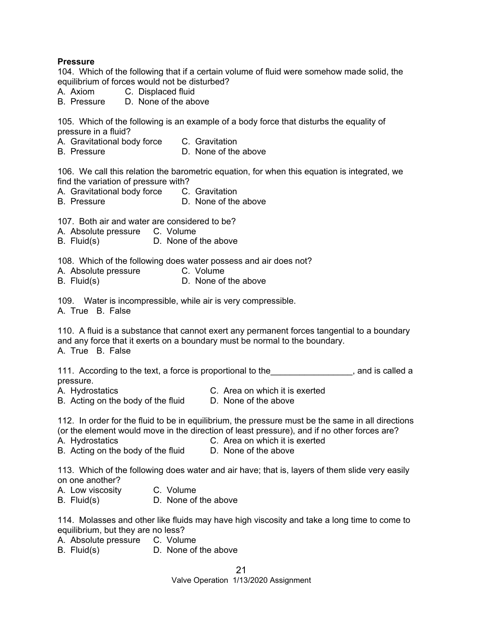#### **Pressure**

104. Which of the following that if a certain volume of fluid were somehow made solid, the equilibrium of forces would not be disturbed?

- A. Axiom C. Displaced fluid
- B. Pressure D. None of the above

105. Which of the following is an example of a body force that disturbs the equality of pressure in a fluid?

- A. Gravitational body force C. Gravitation
- B. Pressure **D.** None of the above

106. We call this relation the barometric equation, for when this equation is integrated, we find the variation of pressure with?

- A. Gravitational body force C. Gravitation
- B. Pressure D. None of the above

107. Both air and water are considered to be?

A. Absolute pressure C. Volume

B. Fluid(s) D. None of the above

108. Which of the following does water possess and air does not?

- A. Absolute pressure C. Volume
- B. Fluid(s) D. None of the above

109. Water is incompressible, while air is very compressible.

A. True B. False

110. A fluid is a substance that cannot exert any permanent forces tangential to a boundary and any force that it exerts on a boundary must be normal to the boundary. A. True B. False

111. According to the text, a force is proportional to the the the state of is called a pressure.

- 
- A. Hydrostatics C. Area on which it is exerted
- B. Acting on the body of the fluid D. None of the above

112. In order for the fluid to be in equilibrium, the pressure must be the same in all directions (or the element would move in the direction of least pressure), and if no other forces are?

- 
- A. Hydrostatics C. Area on which it is exerted
- B. Acting on the body of the fluid D. None of the above

113. Which of the following does water and air have; that is, layers of them slide very easily on one another?

A. Low viscosity C. Volume

B. Fluid(s) D. None of the above

114. Molasses and other like fluids may have high viscosity and take a long time to come to equilibrium, but they are no less?

A. Absolute pressure C. Volume

B. Fluid(s) D. None of the above

Valve Operation 1/13/2020 Assignment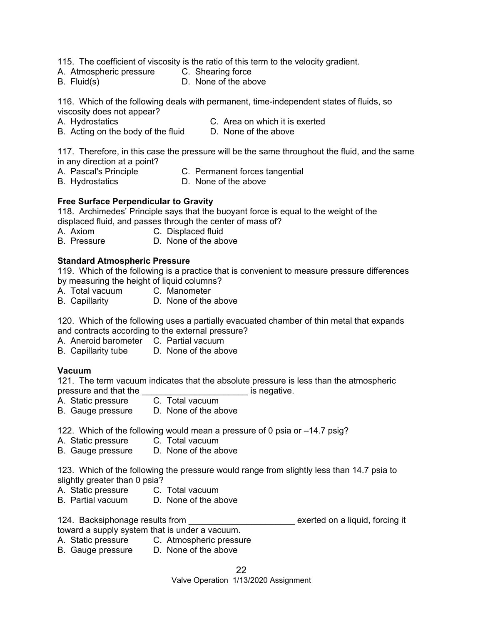115. The coefficient of viscosity is the ratio of this term to the velocity gradient.

- A. Atmospheric pressure C. Shearing force
- B. Fluid(s) D. None of the above

116. Which of the following deals with permanent, time-independent states of fluids, so viscosity does not appear?

- 
- A. Hydrostatics C. Area on which it is exerted
- B. Acting on the body of the fluid D. None of the above

117. Therefore, in this case the pressure will be the same throughout the fluid, and the same in any direction at a point?

- 
- A. Pascal's Principle C. Permanent forces tangential
- B. Hydrostatics D. None of the above

# **Free Surface Perpendicular to Gravity**

118. Archimedes' Principle says that the buoyant force is equal to the weight of the displaced fluid, and passes through the center of mass of?

- A. Axiom C. Displaced fluid<br>B. Pressure B. None of the ab
- D. None of the above

# **Standard Atmospheric Pressure**

119. Which of the following is a practice that is convenient to measure pressure differences by measuring the height of liquid columns?

- A. Total vacuum C. Manometer
- B. Capillarity D. None of the above

120. Which of the following uses a partially evacuated chamber of thin metal that expands and contracts according to the external pressure?

- A. Aneroid barometer C. Partial vacuum
- B. Capillarity tube D. None of the above

# **Vacuum**

121. The term vacuum indicates that the absolute pressure is less than the atmospheric pressure and that the \_\_\_\_\_\_\_\_\_\_\_\_\_\_\_\_\_\_\_\_\_\_ is negative.

- A. Static pressure
- B. Gauge pressure D. None of the above

122. Which of the following would mean a pressure of 0 psia or –14.7 psig?

- A. Static pressure C. Total vacuum
- B. Gauge pressure D. None of the above

123. Which of the following the pressure would range from slightly less than 14.7 psia to slightly greater than 0 psia?

- A. Static pressure C. Total vacuum
- B. Partial vacuum D. None of the above

124. Backsiphonage results from exerted on a liquid, forcing it

toward a supply system that is under a vacuum.

- A. Static pressure C. Atmospheric pressure
- B. Gauge pressure D. None of the above

Valve Operation 1/13/2020 Assignment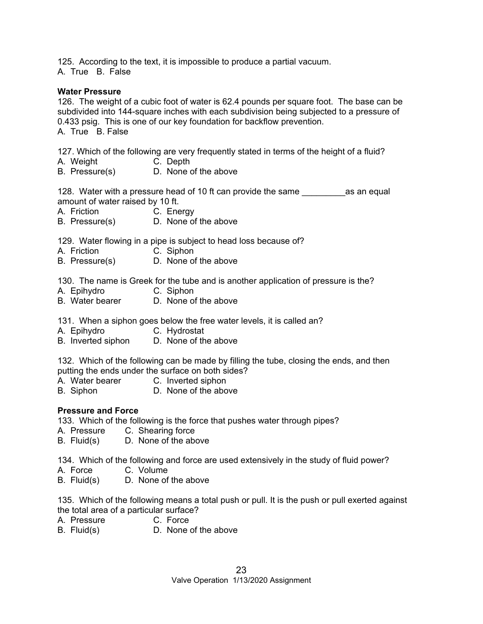125. According to the text, it is impossible to produce a partial vacuum. A. True B. False

#### **Water Pressure**

126. The weight of a cubic foot of water is 62.4 pounds per square foot. The base can be subdivided into 144-square inches with each subdivision being subjected to a pressure of 0.433 psig. This is one of our key foundation for backflow prevention. A. True B. False

127. Which of the following are very frequently stated in terms of the height of a fluid?

- A. Weight C. Depth
- B. Pressure(s) D. None of the above

128. Water with a pressure head of 10 ft can provide the same example as an equal amount of water raised by 10 ft.

- A. Friction C. Energy
- B. Pressure(s) D. None of the above

129. Water flowing in a pipe is subject to head loss because of?

- A. Friction C. Siphon
- B. Pressure(s) D. None of the above

130. The name is Greek for the tube and is another application of pressure is the?

- A. Epihydro C. Siphon
- B. Water bearer D. None of the above

131. When a siphon goes below the free water levels, it is called an?

- A. Epihydro C. Hydrostat
- B. Inverted siphon D. None of the above

132. Which of the following can be made by filling the tube, closing the ends, and then putting the ends under the surface on both sides?

- A. Water bearer C. Inverted siphon
- B. Siphon D. None of the above

# **Pressure and Force**

133. Which of the following is the force that pushes water through pipes?

- A. Pressure C. Shearing force
- B. Fluid(s) D. None of the above

134. Which of the following and force are used extensively in the study of fluid power?

- A. Force C. Volume
- B. Fluid(s) D. None of the above

135. Which of the following means a total push or pull. It is the push or pull exerted against the total area of a particular surface?

- A. Pressure C. Force
- B. Fluid(s) D. None of the above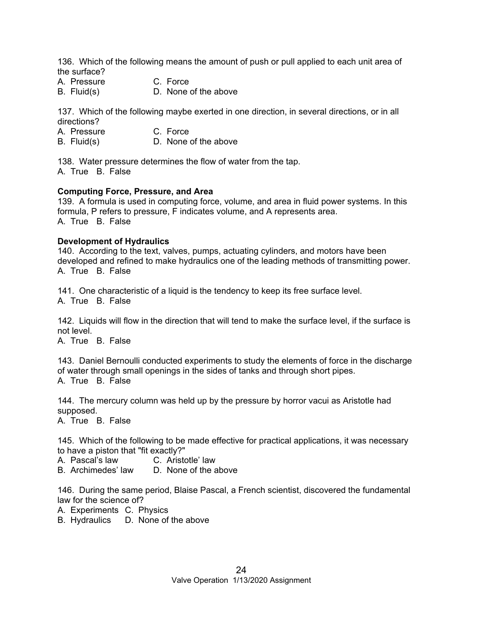136. Which of the following means the amount of push or pull applied to each unit area of the surface?

- A. Pressure C. Force
- B. Fluid(s) D. None of the above

137. Which of the following maybe exerted in one direction, in several directions, or in all directions?

- A. Pressure C. Force
- B. Fluid(s) D. None of the above

138. Water pressure determines the flow of water from the tap. A. True B. False

#### **Computing Force, Pressure, and Area**

139. A formula is used in computing force, volume, and area in fluid power systems. In this formula, P refers to pressure, F indicates volume, and A represents area. A. True B. False

#### **Development of Hydraulics**

140. According to the text, valves, pumps, actuating cylinders, and motors have been developed and refined to make hydraulics one of the leading methods of transmitting power. A. True B. False

141. One characteristic of a liquid is the tendency to keep its free surface level. A. True B. False

142. Liquids will flow in the direction that will tend to make the surface level, if the surface is not level.

A. True B. False

143. Daniel Bernoulli conducted experiments to study the elements of force in the discharge of water through small openings in the sides of tanks and through short pipes. A. True B. False

144. The mercury column was held up by the pressure by horror vacui as Aristotle had supposed.

A. True B. False

145. Which of the following to be made effective for practical applications, it was necessary to have a piston that "fit exactly?"

A. Pascal's law C. Aristotle' law<br>B. Archimedes' law D. None of the above

B. Archimedes' law

146. During the same period, Blaise Pascal, a French scientist, discovered the fundamental law for the science of?

- A. Experiments C. Physics
- B. Hydraulics D. None of the above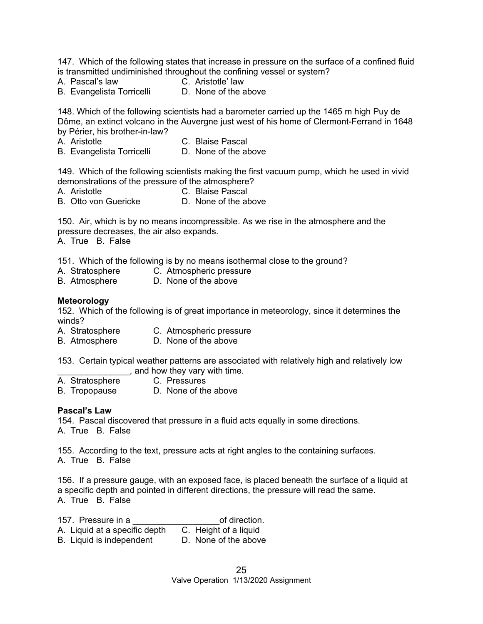147. Which of the following states that increase in pressure on the surface of a confined fluid is transmitted undiminished throughout the confining vessel or system?

- A. Pascal's law C. Aristotle' law
- B. Evangelista Torricelli D. None of the above

148. Which of the following scientists had a barometer carried up the 1465 m high Puy de Dôme, an extinct volcano in the Auvergne just west of his home of Clermont-Ferrand in 1648 by Périer, his brother-in-law?

- A. Aristotle C. Blaise Pascal
- B. Evangelista Torricelli D. None of the above

149. Which of the following scientists making the first vacuum pump, which he used in vivid demonstrations of the pressure of the atmosphere?

- A. Aristotle C. Blaise Pascal
- B. Otto von Guericke D. None of the above

150. Air, which is by no means incompressible. As we rise in the atmosphere and the pressure decreases, the air also expands.

A. True B. False

151. Which of the following is by no means isothermal close to the ground?

- A. Stratosphere C. Atmospheric pressure
- B. Atmosphere D. None of the above

#### **Meteorology**

152. Which of the following is of great importance in meteorology, since it determines the winds?

- A. Stratosphere C. Atmospheric pressure
- B. Atmosphere D. None of the above
- 153. Certain typical weather patterns are associated with relatively high and relatively low \_\_\_\_\_\_\_\_\_\_\_\_\_\_\_, and how they vary with time.
- A. Stratosphere C. Pressures
- B. Tropopause D. None of the above

# **Pascal's Law**

154. Pascal discovered that pressure in a fluid acts equally in some directions. A. True B. False

155. According to the text, pressure acts at right angles to the containing surfaces. A. True B. False

156. If a pressure gauge, with an exposed face, is placed beneath the surface of a liquid at a specific depth and pointed in different directions, the pressure will read the same. A. True B. False

| 157. Pressure in a            | of direction.         |
|-------------------------------|-----------------------|
| A. Liquid at a specific depth | C. Height of a liquid |
| B. Liquid is independent      | D. None of the above  |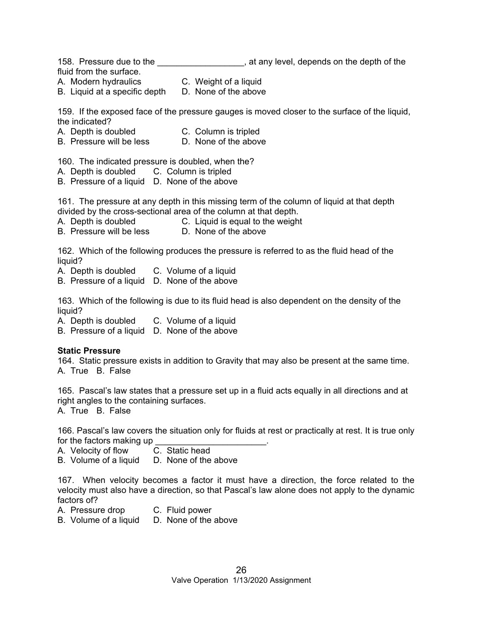158. Pressure due to the **constant of the set of the set of the set of the set of the set of the set of the set of the set of the set of the set of the set of the set of the set of the set of the set of the set of the set** fluid from the surface.

A. Modern hydraulics C. Weight of a liquid<br>B. Liquid at a specific depth D. None of the above B. Liquid at a specific depth

159. If the exposed face of the pressure gauges is moved closer to the surface of the liquid, the indicated?

- A. Depth is doubled C. Column is tripled
- B. Pressure will be less D. None of the above

160. The indicated pressure is doubled, when the?

A. Depth is doubled C. Column is tripled

B. Pressure of a liquid D. None of the above

161. The pressure at any depth in this missing term of the column of liquid at that depth divided by the cross-sectional area of the column at that depth.

A. Depth is doubled C. Liquid is equal to the weight

B. Pressure will be less D. None of the above

162. Which of the following produces the pressure is referred to as the fluid head of the liquid?

A. Depth is doubled C. Volume of a liquid

B. Pressure of a liquid D. None of the above

163. Which of the following is due to its fluid head is also dependent on the density of the liquid?

A. Depth is doubled C. Volume of a liquid

B. Pressure of a liquid D. None of the above

#### **Static Pressure**

164. Static pressure exists in addition to Gravity that may also be present at the same time. A. True B. False

165. Pascal's law states that a pressure set up in a fluid acts equally in all directions and at right angles to the containing surfaces. A. True B. False

166. Pascal's law covers the situation only for fluids at rest or practically at rest. It is true only for the factors making up

A. Velocity of flow C. Static head

B. Volume of a liquid D. None of the above

167. When velocity becomes a factor it must have a direction, the force related to the velocity must also have a direction, so that Pascal's law alone does not apply to the dynamic factors of?

A. Pressure drop C. Fluid power

B. Volume of a liquid D. None of the above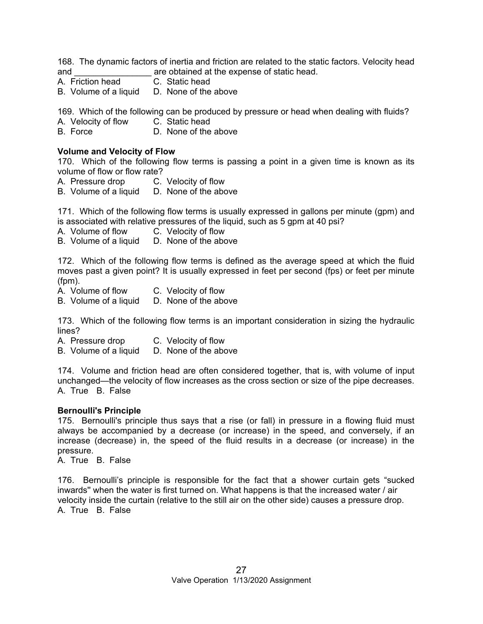168. The dynamic factors of inertia and friction are related to the static factors. Velocity head and **and are obtained at the expense of static head.** 

- A. Friction head C. Static head
- B. Volume of a liquid D. None of the above

169. Which of the following can be produced by pressure or head when dealing with fluids?

A. Velocity of flow C. Static head

B. Force D. None of the above

## **Volume and Velocity of Flow**

170. Which of the following flow terms is passing a point in a given time is known as its volume of flow or flow rate?

- A. Pressure drop C. Velocity of flow
- B. Volume of a liquid D. None of the above

171. Which of the following flow terms is usually expressed in gallons per minute (gpm) and is associated with relative pressures of the liquid, such as 5 gpm at 40 psi?

A. Volume of flow C. Velocity of flow

B. Volume of a liquid D. None of the above

172. Which of the following flow terms is defined as the average speed at which the fluid moves past a given point? It is usually expressed in feet per second (fps) or feet per minute (fpm).

- A. Volume of flow C. Velocity of flow<br>B. Volume of a liquid D. None of the above
- B. Volume of a liquid

173. Which of the following flow terms is an important consideration in sizing the hydraulic lines?

- A. Pressure drop C. Velocity of flow
- B. Volume of a liquid D. None of the above

174. Volume and friction head are often considered together, that is, with volume of input unchanged—the velocity of flow increases as the cross section or size of the pipe decreases. A. True B. False

#### **Bernoulli's Principle**

175. Bernoulli's principle thus says that a rise (or fall) in pressure in a flowing fluid must always be accompanied by a decrease (or increase) in the speed, and conversely, if an increase (decrease) in, the speed of the fluid results in a decrease (or increase) in the pressure.

A. True B. False

176. Bernoulli's principle is responsible for the fact that a shower curtain gets "sucked inwards'' when the water is first turned on. What happens is that the increased water / air velocity inside the curtain (relative to the still air on the other side) causes a pressure drop. A. True B. False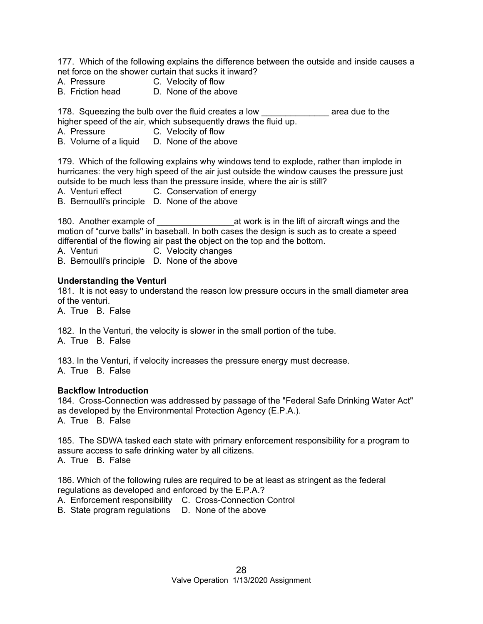177. Which of the following explains the difference between the outside and inside causes a net force on the shower curtain that sucks it inward?

- A. Pressure C. Velocity of flow
- B. Friction head D. None of the above

178. Squeezing the bulb over the fluid creates a low \_\_\_\_\_\_\_\_\_\_\_\_\_\_\_\_\_\_\_\_ area due to the higher speed of the air, which subsequently draws the fluid up.

- A. Pressure C. Velocity of flow
- B. Volume of a liquid D. None of the above

179. Which of the following explains why windows tend to explode, rather than implode in hurricanes: the very high speed of the air just outside the window causes the pressure just outside to be much less than the pressure inside, where the air is still?

- A. Venturi effect C. Conservation of energy
- B. Bernoulli's principle D. None of the above

180. Another example of **the act all incremental and the state of a** at work is in the lift of aircraft wings and the motion of "curve balls'' in baseball. In both cases the design is such as to create a speed differential of the flowing air past the object on the top and the bottom.

A. Venturi C. Velocity changes

B. Bernoulli's principle D. None of the above

#### **Understanding the Venturi**

181. It is not easy to understand the reason low pressure occurs in the small diameter area of the venturi.

A. True B. False

182. In the Venturi, the velocity is slower in the small portion of the tube. A. True B. False

183. In the Venturi, if velocity increases the pressure energy must decrease. A. True B. False

#### **Backflow Introduction**

184. Cross-Connection was addressed by passage of the "Federal Safe Drinking Water Act" as developed by the Environmental Protection Agency (E.P.A.). A. True B. False

185. The SDWA tasked each state with primary enforcement responsibility for a program to assure access to safe drinking water by all citizens. A. True B. False

186. Which of the following rules are required to be at least as stringent as the federal regulations as developed and enforced by the E.P.A.?

A. Enforcement responsibility C. Cross-Connection Control

B. State program regulations D. None of the above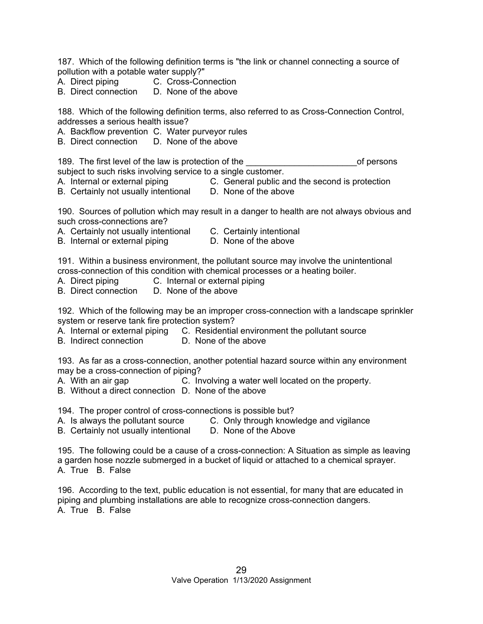187. Which of the following definition terms is "the link or channel connecting a source of pollution with a potable water supply?"

- A. Direct piping C. Cross-Connection<br>B. Direct connection D. None of the above
- B. Direct connection

188. Which of the following definition terms, also referred to as Cross-Connection Control, addresses a serious health issue?

A. Backflow prevention C. Water purveyor rules

B. Direct connection D. None of the above

189. The first level of the law is protection of the \_\_\_\_\_\_\_\_\_\_\_\_\_\_\_\_\_\_\_\_\_\_\_of persons subject to such risks involving service to a single customer.

A. Internal or external piping C. General public and the second is protection

B. Certainly not usually intentional D. None of the above

190. Sources of pollution which may result in a danger to health are not always obvious and such cross-connections are?

- A. Certainly not usually intentional C. Certainly intentional
- B. Internal or external piping D. None of the above

191. Within a business environment, the pollutant source may involve the unintentional cross-connection of this condition with chemical processes or a heating boiler.

A. Direct piping C. Internal or external piping

B. Direct connection D. None of the above

192. Which of the following may be an improper cross-connection with a landscape sprinkler system or reserve tank fire protection system?

- A. Internal or external piping C. Residential environment the pollutant source
- B. Indirect connection D. None of the above

193. As far as a cross-connection, another potential hazard source within any environment may be a cross-connection of piping?

- A. With an air gap C. Involving a water well located on the property.
- B. Without a direct connection D. None of the above

194. The proper control of cross-connections is possible but?

A. Is always the pollutant source C. Only through knowledge and vigilance

B. Certainly not usually intentional D. None of the Above

195. The following could be a cause of a cross-connection: A Situation as simple as leaving a garden hose nozzle submerged in a bucket of liquid or attached to a chemical sprayer. A. True B. False

196. According to the text, public education is not essential, for many that are educated in piping and plumbing installations are able to recognize cross-connection dangers. A. True B. False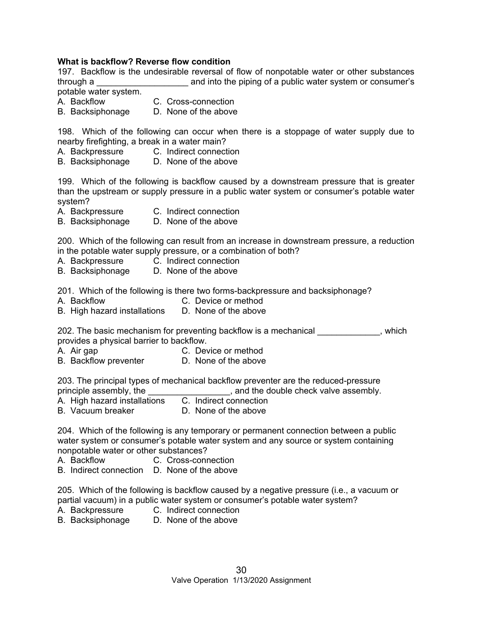## **What is backflow? Reverse flow condition**

197. Backflow is the undesirable reversal of flow of nonpotable water or other substances through a **through a** and into the piping of a public water system or consumer's

potable water system.

- A. Backflow C. Cross-connection
- B. Backsiphonage D. None of the above

198. Which of the following can occur when there is a stoppage of water supply due to nearby firefighting, a break in a water main?

- A. Backpressure C. Indirect connection
- B. Backsiphonage D. None of the above

199. Which of the following is backflow caused by a downstream pressure that is greater than the upstream or supply pressure in a public water system or consumer's potable water system?

- A. Backpressure C. Indirect connection
- B. Backsiphonage D. None of the above

200. Which of the following can result from an increase in downstream pressure, a reduction in the potable water supply pressure, or a combination of both?

- A. Backpressure C. Indirect connection
- B. Backsiphonage D. None of the above

201. Which of the following is there two forms-backpressure and backsiphonage?

- A. Backflow C. Device or method
- B. High hazard installations D. None of the above

202. The basic mechanism for preventing backflow is a mechanical example in the system system is experienced. provides a physical barrier to backflow.

- A. Air gap C. Device or method
- B. Backflow preventer D. None of the above

203. The principal types of mechanical backflow preventer are the reduced-pressure

principle assembly, the  $\Box$  and the double check valve assembly.

- A. High hazard installations C. Indirect connection
- B. Vacuum breaker D. None of the above

204. Which of the following is any temporary or permanent connection between a public water system or consumer's potable water system and any source or system containing nonpotable water or other substances?

- A. Backflow C. Cross-connection
- B. Indirect connection D. None of the above

205. Which of the following is backflow caused by a negative pressure (i.e., a vacuum or partial vacuum) in a public water system or consumer's potable water system?

- A. Backpressure C. Indirect connection
- B. Backsiphonage D. None of the above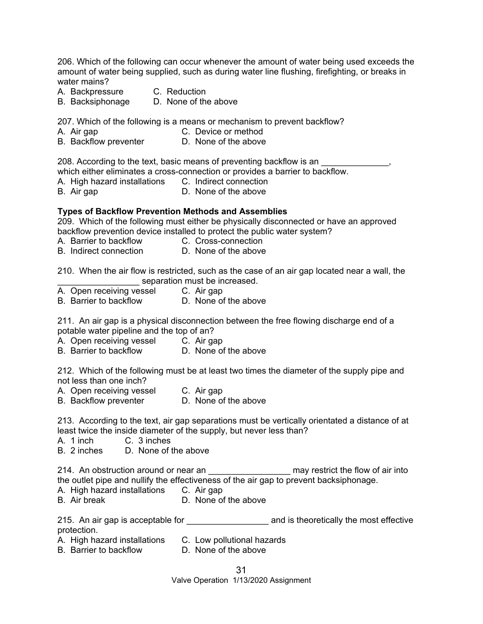206. Which of the following can occur whenever the amount of water being used exceeds the amount of water being supplied, such as during water line flushing, firefighting, or breaks in water mains?

- A. Backpressure C. Reduction
- B. Backsiphonage D. None of the above

207. Which of the following is a means or mechanism to prevent backflow?

- A. Air gap C. Device or method
- B. Backflow preventer D. None of the above

208. According to the text, basic means of preventing backflow is an

which either eliminates a cross-connection or provides a barrier to backflow.

- A. High hazard installations C. Indirect connection
- B. Air gap D. None of the above

#### **Types of Backflow Prevention Methods and Assemblies**

209. Which of the following must either be physically disconnected or have an approved backflow prevention device installed to protect the public water system?

- A. Barrier to backflow C. Cross-connection
- B. Indirect connection D. None of the above

210. When the air flow is restricted, such as the case of an air gap located near a wall, the separation must be increased.

- A. Open receiving vessel C. Air gap<br>B. Barrier to backflow D. None of the above
- B. Barrier to backflow

211. An air gap is a physical disconnection between the free flowing discharge end of a potable water pipeline and the top of an?

- A. Open receiving vessel C. Air gap
- B. Barrier to backflow D. None of the above

212. Which of the following must be at least two times the diameter of the supply pipe and not less than one inch?

- A. Open receiving vessel C. Air gap<br>B. Backflow preventer D. None of the above
- B. Backflow preventer

213. According to the text, air gap separations must be vertically orientated a distance of at least twice the inside diameter of the supply, but never less than?

- A. 1 inch C. 3 inches
- B. 2 inches D. None of the above

214. An obstruction around or near an \_\_\_\_\_\_\_\_\_\_\_\_\_\_\_\_\_\_\_\_\_ may restrict the flow of air into the outlet pipe and nullify the effectiveness of the air gap to prevent backsiphonage.

- A. High hazard installations C. Air gap<br>B. Air break D. None of
- D. None of the above

215. An air gap is acceptable for **the and is theoretically the most effective** protection.

- A. High hazard installations C. Low pollutional hazards
- B. Barrier to backflow D. None of the above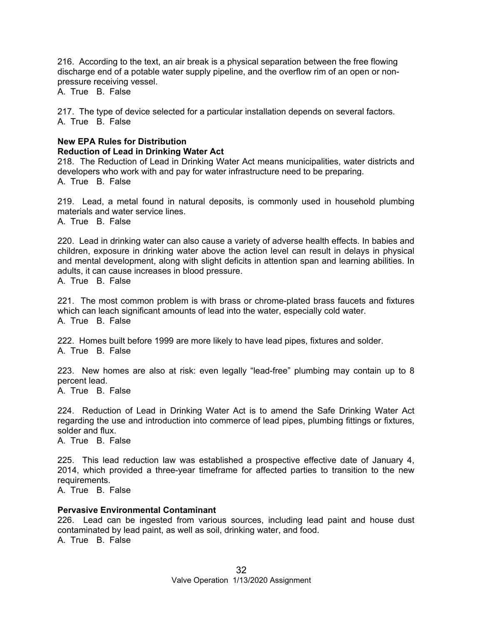216. According to the text, an air break is a physical separation between the free flowing discharge end of a potable water supply pipeline, and the overflow rim of an open or nonpressure receiving vessel.

A. True B. False

217. The type of device selected for a particular installation depends on several factors. A. True B. False

# **New EPA Rules for Distribution Reduction of Lead in Drinking Water Act**

218. The Reduction of Lead in Drinking Water Act means municipalities, water districts and developers who work with and pay for water infrastructure need to be preparing. A. True B. False

219. Lead, a metal found in natural deposits, is commonly used in household plumbing materials and water service lines.

A. True B. False

220. Lead in drinking water can also cause a variety of adverse health effects. In babies and children, exposure in drinking water above the action level can result in delays in physical and mental development, along with slight deficits in attention span and learning abilities. In adults, it can cause increases in blood pressure.

A. True B. False

221. The most common problem is with brass or chrome-plated brass faucets and fixtures which can leach significant amounts of lead into the water, especially cold water. A. True B. False

222. Homes built before 1999 are more likely to have lead pipes, fixtures and solder. A. True B. False

223. New homes are also at risk: even legally "lead-free" plumbing may contain up to 8 percent lead.

A. True B. False

224. Reduction of Lead in Drinking Water Act is to amend the Safe Drinking Water Act regarding the use and introduction into commerce of lead pipes, plumbing fittings or fixtures, solder and flux.

A. True B. False

225. This lead reduction law was established a prospective effective date of January 4, 2014, which provided a three-year timeframe for affected parties to transition to the new requirements.

A. True B. False

# **Pervasive Environmental Contaminant**

226. Lead can be ingested from various sources, including lead paint and house dust contaminated by lead paint, as well as soil, drinking water, and food. A. True B. False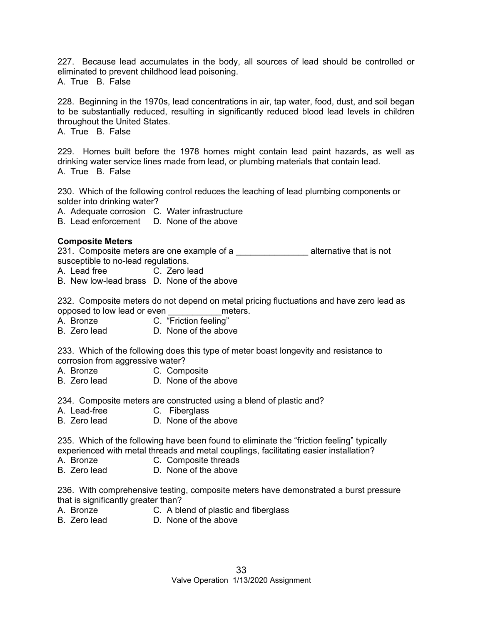227. Because lead accumulates in the body, all sources of lead should be controlled or eliminated to prevent childhood lead poisoning. A. True B. False

228. Beginning in the 1970s, lead concentrations in air, tap water, food, dust, and soil began to be substantially reduced, resulting in significantly reduced blood lead levels in children throughout the United States.

A. True B. False

229. Homes built before the 1978 homes might contain lead paint hazards, as well as drinking water service lines made from lead, or plumbing materials that contain lead. A. True B. False

230. Which of the following control reduces the leaching of lead plumbing components or solder into drinking water?

A. Adequate corrosion C. Water infrastructure

B. Lead enforcement D. None of the above

#### **Composite Meters**

231. Composite meters are one example of a \_\_\_\_\_\_\_\_\_\_\_\_\_\_\_\_\_\_\_\_ alternative that is not susceptible to no-lead regulations.

A. Lead free C. Zero lead

B. New low-lead brass D. None of the above

232. Composite meters do not depend on metal pricing fluctuations and have zero lead as opposed to low lead or even **the contract of the meters**.

- A. Bronze C. "Friction feeling"
- B. Zero lead D. None of the above

233. Which of the following does this type of meter boast longevity and resistance to corrosion from aggressive water?

- A. Bronze C. Composite
- B. Zero lead D. None of the above

234. Composite meters are constructed using a blend of plastic and?

- A. Lead-free C. Fiberglass
- B. Zero lead D. None of the above

235. Which of the following have been found to eliminate the "friction feeling" typically experienced with metal threads and metal couplings, facilitating easier installation?

- A. Bronze C. Composite threads
- B. Zero lead D. None of the above

236. With comprehensive testing, composite meters have demonstrated a burst pressure that is significantly greater than?

- 
- A. Bronze C. A blend of plastic and fiberglass
- B. Zero lead D. None of the above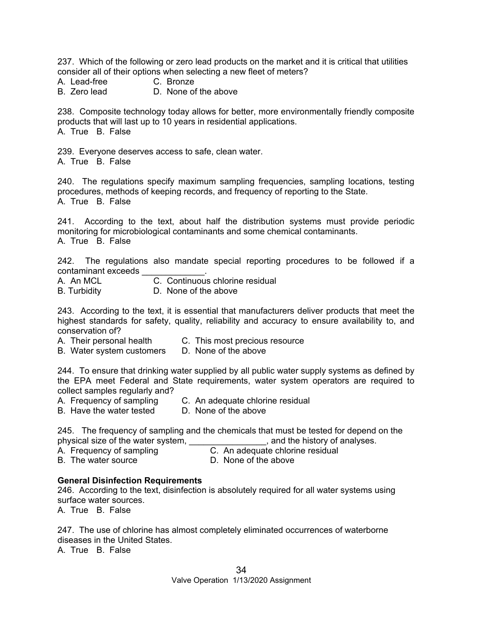237. Which of the following or zero lead products on the market and it is critical that utilities consider all of their options when selecting a new fleet of meters?

A. Lead-free C. Bronze

B. Zero lead D. None of the above

238. Composite technology today allows for better, more environmentally friendly composite products that will last up to 10 years in residential applications. A. True B. False

239. Everyone deserves access to safe, clean water. A. True B. False

240. The regulations specify maximum sampling frequencies, sampling locations, testing procedures, methods of keeping records, and frequency of reporting to the State. A. True B. False

241. According to the text, about half the distribution systems must provide periodic monitoring for microbiological contaminants and some chemical contaminants. A. True B. False

242. The regulations also mandate special reporting procedures to be followed if a contaminant exceeds \_\_\_\_\_\_\_\_\_\_\_\_\_.

A. An MCL C. Continuous chlorine residual

B. Turbidity D. None of the above

243. According to the text, it is essential that manufacturers deliver products that meet the highest standards for safety, quality, reliability and accuracy to ensure availability to, and conservation of?

- A. Their personal health C. This most precious resource
- B. Water system customers D. None of the above

244. To ensure that drinking water supplied by all public water supply systems as defined by the EPA meet Federal and State requirements, water system operators are required to collect samples regularly and?

- A. Frequency of sampling C. An adequate chlorine residual
- B. Have the water tested D. None of the above

245. The frequency of sampling and the chemicals that must be tested for depend on the physical size of the water system, \_\_\_\_\_\_\_\_\_\_\_\_\_\_\_\_, and the history of analyses.

| . . |                          |  |         |
|-----|--------------------------|--|---------|
|     | A. Frequency of sampling |  | C. An a |

adequate chlorine residual

B. The water source **D.** None of the above

#### **General Disinfection Requirements**

246. According to the text, disinfection is absolutely required for all water systems using surface water sources.

A. True B. False

247. The use of chlorine has almost completely eliminated occurrences of waterborne diseases in the United States.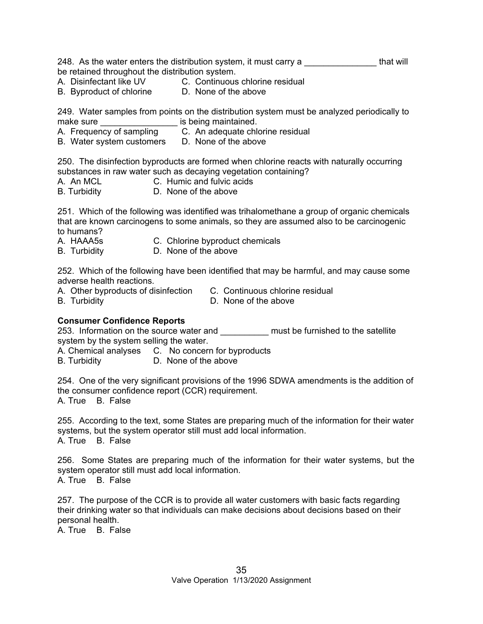248. As the water enters the distribution system, it must carry a \_\_\_\_\_\_\_\_\_\_\_\_\_\_\_ that will be retained throughout the distribution system.

- 
- A. Disinfectant like UV C. Continuous chlorine residual<br>B. Byproduct of chlorine D. None of the above B. Byproduct of chlorine

249. Water samples from points on the distribution system must be analyzed periodically to make sure \_\_\_\_\_\_\_\_\_\_\_\_\_\_\_\_\_\_\_ is being maintained.

- A. Frequency of sampling C. An adequate chlorine residual
- B. Water system customers D. None of the above

250. The disinfection byproducts are formed when chlorine reacts with naturally occurring substances in raw water such as decaying vegetation containing?

- A. An MCL C. Humic and fulvic acids
- B. Turbidity D. None of the above

251. Which of the following was identified was trihalomethane a group of organic chemicals that are known carcinogens to some animals, so they are assumed also to be carcinogenic to humans?

- A. HAAA5s C. Chlorine byproduct chemicals
- B. Turbidity **D.** None of the above

252. Which of the following have been identified that may be harmful, and may cause some adverse health reactions.

- A. Other byproducts of disinfection C. Continuous chlorine residual
- 
- B. Turbidity **D.** None of the above

# **Consumer Confidence Reports**

253. Information on the source water and \_\_\_\_\_\_\_\_\_\_ must be furnished to the satellite system by the system selling the water.

A. Chemical analyses C. No concern for byproducts

B. Turbidity D. None of the above

254. One of the very significant provisions of the 1996 SDWA amendments is the addition of the consumer confidence report (CCR) requirement. A. True B. False

255. According to the text, some States are preparing much of the information for their water systems, but the system operator still must add local information. A. True B. False

256. Some States are preparing much of the information for their water systems, but the system operator still must add local information. A. True B. False

257. The purpose of the CCR is to provide all water customers with basic facts regarding their drinking water so that individuals can make decisions about decisions based on their personal health.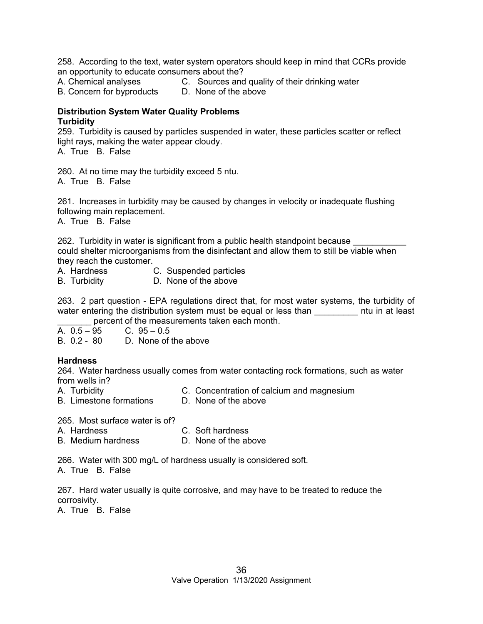258. According to the text, water system operators should keep in mind that CCRs provide an opportunity to educate consumers about the?

A. Chemical analyses **C.** Sources and quality of their drinking water

B. Concern for byproducts D. None of the above

#### **Distribution System Water Quality Problems Turbidity**

259. Turbidity is caused by particles suspended in water, these particles scatter or reflect light rays, making the water appear cloudy.

A. True B. False

260. At no time may the turbidity exceed 5 ntu. A. True B. False

261. Increases in turbidity may be caused by changes in velocity or inadequate flushing following main replacement.

A. True B. False

262. Turbidity in water is significant from a public health standpoint because \_\_\_\_\_\_\_\_\_\_\_ could shelter microorganisms from the disinfectant and allow them to still be viable when they reach the customer.

- A. Hardness C. Suspended particles
- B. Turbidity **D.** None of the above

263. 2 part question - EPA regulations direct that, for most water systems, the turbidity of water entering the distribution system must be equal or less than **the number of the system** ntu in at least percent of the measurements taken each month.

A.  $0.5 - 95$  C.  $95 - 0.5$ 

B. 0.2 - 80 D. None of the above

# **Hardness**

264. Water hardness usually comes from water contacting rock formations, such as water from wells in?

- A. Turbidity **C. Concentration of calcium and magnesium**<br>B. Limestone formations **D. None of the above**
- B. Limestone formations

265. Most surface water is of?

- 
- A. Hardness C. Soft hardness
- B. Medium hardness D. None of the above

266. Water with 300 mg/L of hardness usually is considered soft. A. True B. False

267. Hard water usually is quite corrosive, and may have to be treated to reduce the corrosivity.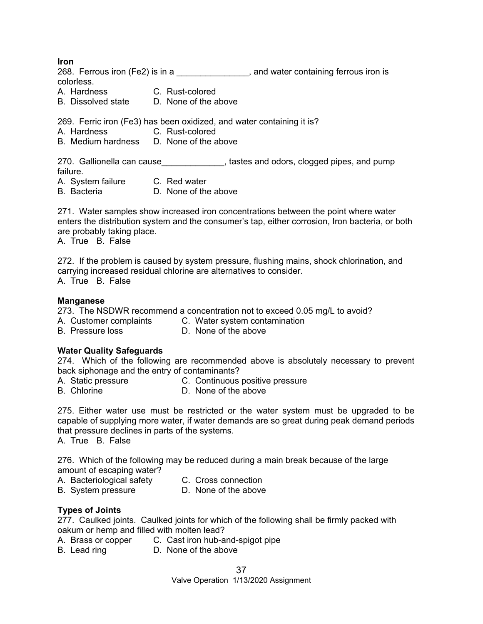**Iron** 

268. Ferrous iron (Fe2) is in a zero is and water containing ferrous iron is colorless.

A. Hardness C. Rust-colored

B. Dissolved state D. None of the above

269. Ferric iron (Fe3) has been oxidized, and water containing it is?

A. Hardness C. Rust-colored

B. Medium hardness D. None of the above

270. Gallionella can cause example and states and odors, clogged pipes, and pump failure.

A. System failure C. Red water

B. Bacteria D. None of the above

271. Water samples show increased iron concentrations between the point where water enters the distribution system and the consumer's tap, either corrosion, Iron bacteria, or both are probably taking place.

A. True B. False

272. If the problem is caused by system pressure, flushing mains, shock chlorination, and carrying increased residual chlorine are alternatives to consider. A. True B. False

#### **Manganese**

273. The NSDWR recommend a concentration not to exceed 0.05 mg/L to avoid?

- A. Customer complaints C. Water system contamination
- B. Pressure loss D. None of the above
	-

# **Water Quality Safeguards**

274. Which of the following are recommended above is absolutely necessary to prevent back siphonage and the entry of contaminants?

- 
- 
- A. Static pressure C. Continuous positive pressure<br>B. Chlorine B. Continuous positive pressure D. None of the above

275. Either water use must be restricted or the water system must be upgraded to be capable of supplying more water, if water demands are so great during peak demand periods that pressure declines in parts of the systems.

A. True B. False

276. Which of the following may be reduced during a main break because of the large amount of escaping water?

- A. Bacteriological safety C. Cross connection
- B. System pressure D. None of the above

# **Types of Joints**

277. Caulked joints. Caulked joints for which of the following shall be firmly packed with oakum or hemp and filled with molten lead?

- A. Brass or copper C. Cast iron hub-and-spigot pipe
- B. Lead ring D. None of the above

Valve Operation 1/13/2020 Assignment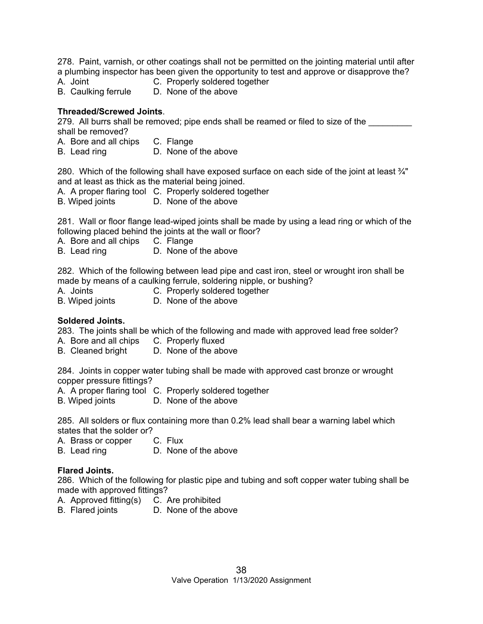278. Paint, varnish, or other coatings shall not be permitted on the jointing material until after a plumbing inspector has been given the opportunity to test and approve or disapprove the?

- A. Joint C. Properly soldered together
- B. Caulking ferrule D. None of the above

## **Threaded/Screwed Joints**.

279. All burrs shall be removed; pipe ends shall be reamed or filed to size of the shall be removed?

- A. Bore and all chips C. Flange
- B. Lead ring D. None of the above

280. Which of the following shall have exposed surface on each side of the joint at least  $\frac{3}{4}$ " and at least as thick as the material being joined.

A. A proper flaring tool C. Properly soldered together

B. Wiped joints D. None of the above

281. Wall or floor flange lead-wiped joints shall be made by using a lead ring or which of the following placed behind the joints at the wall or floor?

- A. Bore and all chips C. Flange
- B. Lead ring D. None of the above

282. Which of the following between lead pipe and cast iron, steel or wrought iron shall be made by means of a caulking ferrule, soldering nipple, or bushing?

- A. Joints C. Properly soldered together
- B. Wiped joints D. None of the above

# **Soldered Joints.**

283. The joints shall be which of the following and made with approved lead free solder?

- A. Bore and all chips C. Properly fluxed
- B. Cleaned bright D. None of the above

284. Joints in copper water tubing shall be made with approved cast bronze or wrought copper pressure fittings?

A. A proper flaring tool C. Properly soldered together

B. Wiped joints D. None of the above

285. All solders or flux containing more than 0.2% lead shall bear a warning label which states that the solder or?

- A. Brass or copper C. Flux
- B. Lead ring D. None of the above

#### **Flared Joints.**

286. Which of the following for plastic pipe and tubing and soft copper water tubing shall be made with approved fittings?

- A. Approved fitting(s) C. Are prohibited
- B. Flared joints D. None of the above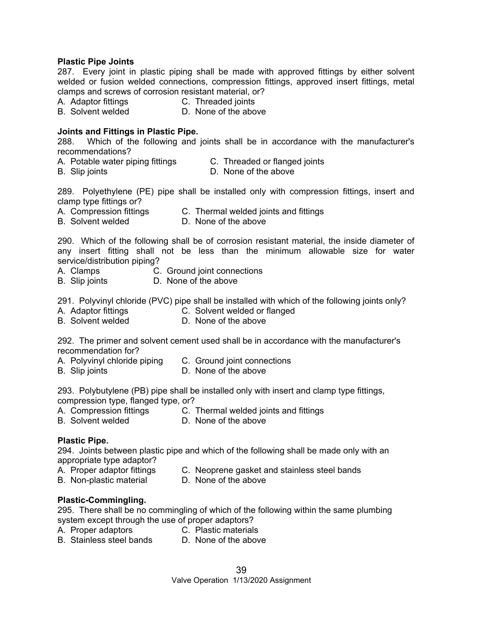#### **Plastic Pipe Joints**

287. Every joint in plastic piping shall be made with approved fittings by either solvent welded or fusion welded connections, compression fittings, approved insert fittings, metal clamps and screws of corrosion resistant material, or?

- A. Adaptor fittings C. Threaded joints
- B. Solvent welded D. None of the above

#### **Joints and Fittings in Plastic Pipe.**

288. Which of the following and joints shall be in accordance with the manufacturer's recommendations?

- A. Potable water piping fittings C. Threaded or flanged joints
- 
- B. Slip joints **D.** None of the above

289. Polyethylene (PE) pipe shall be installed only with compression fittings, insert and clamp type fittings or?

- A. Compression fittings C. Thermal welded joints and fittings
- B. Solvent welded D. None of the above

290. Which of the following shall be of corrosion resistant material, the inside diameter of any insert fitting shall not be less than the minimum allowable size for water service/distribution piping?

- A. Clamps C. Ground joint connections
- B. Slip joints D. None of the above

291. Polyvinyl chloride (PVC) pipe shall be installed with which of the following joints only?

- A. Adaptor fittings C. Solvent welded or flanged
- B. Solvent welded D. None of the above

292. The primer and solvent cement used shall be in accordance with the manufacturer's recommendation for?

- A. Polyvinyl chloride piping C. Ground joint connections
- B. Slip joints **D.** None of the above
	-

293. Polybutylene (PB) pipe shall be installed only with insert and clamp type fittings, compression type, flanged type, or?

- A. Compression fittings C. Thermal welded joints and fittings
- B. Solvent welded **D.** None of the above
- 

#### **Plastic Pipe.**

294. Joints between plastic pipe and which of the following shall be made only with an appropriate type adaptor?

- 
- C. Neoprene gasket and stainless steel bands B. Non-plastic material D. None of the above

# **Plastic-Commingling.**

295. There shall be no commingling of which of the following within the same plumbing system except through the use of proper adaptors?

- A. Proper adaptors C. Plastic materials
- B. Stainless steel bands D. None of the above